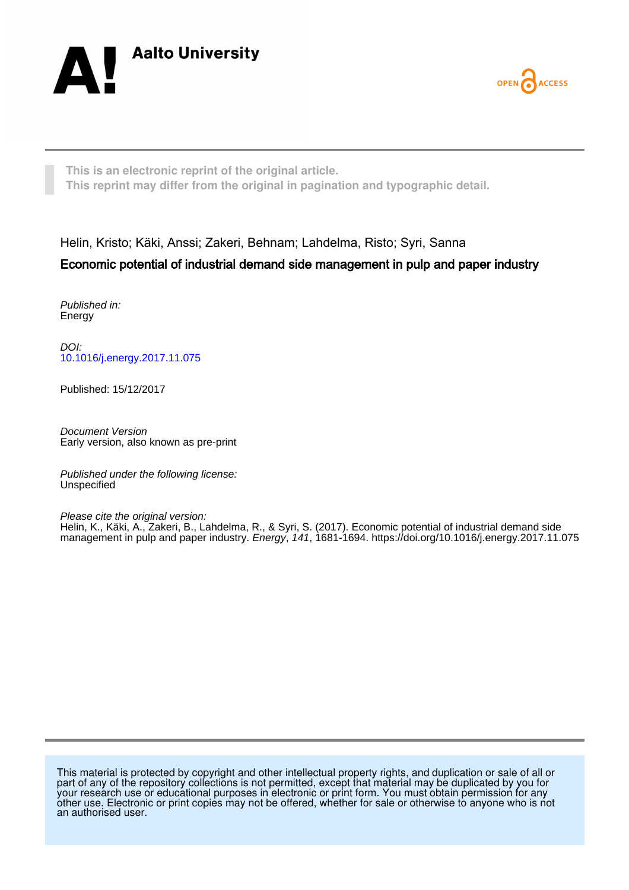



**This is an electronic reprint of the original article. This reprint may differ from the original in pagination and typographic detail.**

Helin, Kristo; Käki, Anssi; Zakeri, Behnam; Lahdelma, Risto; Syri, Sanna

# Economic potential of industrial demand side management in pulp and paper industry

Published in: Energy

DOI: [10.1016/j.energy.2017.11.075](https://doi.org/10.1016/j.energy.2017.11.075)

Published: 15/12/2017

Document Version Early version, also known as pre-print

Published under the following license: Unspecified

Please cite the original version: Helin, K., Käki, A., Zakeri, B., Lahdelma, R., & Syri, S. (2017). Economic potential of industrial demand side management in pulp and paper industry. Energy, 141, 1681-1694. <https://doi.org/10.1016/j.energy.2017.11.075>

This material is protected by copyright and other intellectual property rights, and duplication or sale of all or part of any of the repository collections is not permitted, except that material may be duplicated by you for your research use or educational purposes in electronic or print form. You must obtain permission for any other use. Electronic or print copies may not be offered, whether for sale or otherwise to anyone who is not an authorised user.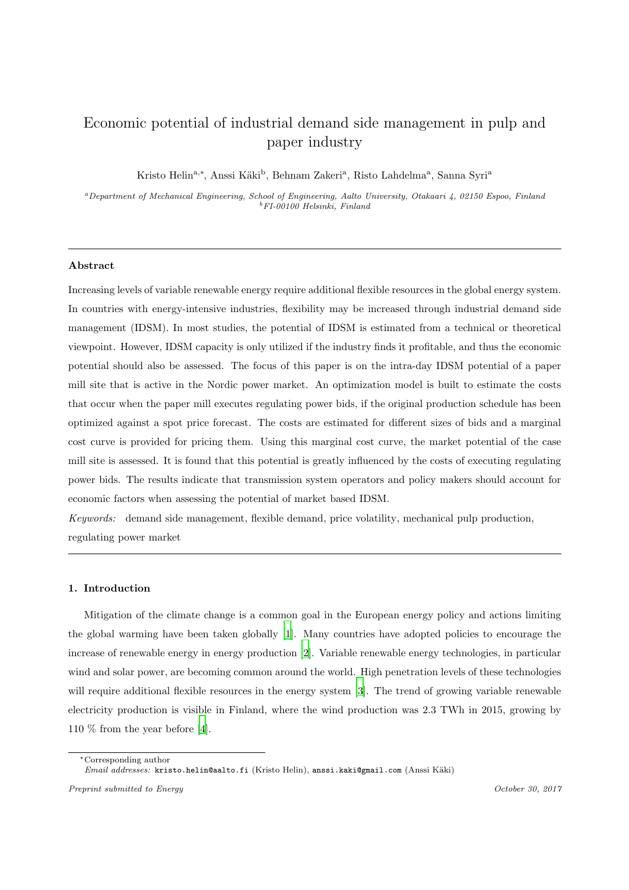# Economic potential of industrial demand side management in pulp and paper industry

Kristo Helin<sup>a,∗</sup>, Anssi Käki<sup>b</sup>, Behnam Zakeri<sup>a</sup>, Risto Lahdelma<sup>a</sup>, Sanna Syri<sup>a</sup>

<sup>a</sup>Department of Mechanical Engineering, School of Engineering, Aalto University, Otakaari 4, 02150 Espoo, Finland <sup>b</sup>FI-00100 Helsinki, Finland

#### Abstract

Increasing levels of variable renewable energy require additional flexible resources in the global energy system. In countries with energy-intensive industries, flexibility may be increased through industrial demand side management (IDSM). In most studies, the potential of IDSM is estimated from a technical or theoretical viewpoint. However, IDSM capacity is only utilized if the industry finds it profitable, and thus the economic potential should also be assessed. The focus of this paper is on the intra-day IDSM potential of a paper mill site that is active in the Nordic power market. An optimization model is built to estimate the costs that occur when the paper mill executes regulating power bids, if the original production schedule has been optimized against a spot price forecast. The costs are estimated for different sizes of bids and a marginal cost curve is provided for pricing them. Using this marginal cost curve, the market potential of the case mill site is assessed. It is found that this potential is greatly influenced by the costs of executing regulating power bids. The results indicate that transmission system operators and policy makers should account for economic factors when assessing the potential of market based IDSM.

*Keywords:* demand side management, flexible demand, price volatility, mechanical pulp production, regulating power market

## 1. Introduction

Mitigation of the climate change is a common goal in the European energy policy and actions limiting the global warming have been taken globally [\[1](#page-29-0)]. Many countries have adopted policies to encourage the increase of renewable energy in energy production [\[2\]](#page-29-1). Variable renewable energy technologies, in particular wind and solar power, are becoming common around the world. High penetration levels of these technologies will require additional flexible resources in the energy system [\[3](#page-29-2)]. The trend of growing variable renewable electricity production is visible in Finland, where the wind production was 2.3 TWh in 2015, growing by 110 % from the year before [\[4](#page-29-3)].

<sup>∗</sup>Corresponding author Email addresses: kristo.helin@aalto.fi (Kristo Helin), anssi.kaki@gmail.com (Anssi Käki)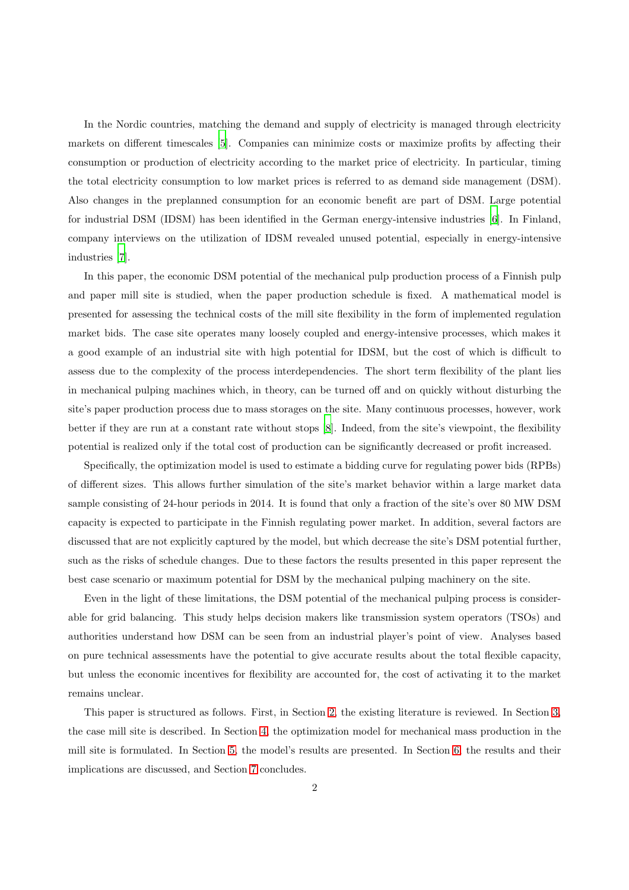In the Nordic countries, matching the demand and supply of electricity is managed through electricity markets on different timescales [\[5](#page-29-4)]. Companies can minimize costs or maximize profits by affecting their consumption or production of electricity according to the market price of electricity. In particular, timing the total electricity consumption to low market prices is referred to as demand side management (DSM). Also changes in the preplanned consumption for an economic benefit are part of DSM. Large potential for industrial DSM (IDSM) has been identified in the German energy-intensive industries [\[6](#page-29-5)]. In Finland, company interviews on the utilization of IDSM revealed unused potential, especially in energy-intensive industries [\[7\]](#page-29-6).

In this paper, the economic DSM potential of the mechanical pulp production process of a Finnish pulp and paper mill site is studied, when the paper production schedule is fixed. A mathematical model is presented for assessing the technical costs of the mill site flexibility in the form of implemented regulation market bids. The case site operates many loosely coupled and energy-intensive processes, which makes it a good example of an industrial site with high potential for IDSM, but the cost of which is difficult to assess due to the complexity of the process interdependencies. The short term flexibility of the plant lies in mechanical pulping machines which, in theory, can be turned off and on quickly without disturbing the site's paper production process due to mass storages on the site. Many continuous processes, however, work better if they are run at a constant rate without stops [\[8\]](#page-29-7). Indeed, from the site's viewpoint, the flexibility potential is realized only if the total cost of production can be significantly decreased or profit increased.

Specifically, the optimization model is used to estimate a bidding curve for regulating power bids (RPBs) of different sizes. This allows further simulation of the site's market behavior within a large market data sample consisting of 24-hour periods in 2014. It is found that only a fraction of the site's over 80 MW DSM capacity is expected to participate in the Finnish regulating power market. In addition, several factors are discussed that are not explicitly captured by the model, but which decrease the site's DSM potential further, such as the risks of schedule changes. Due to these factors the results presented in this paper represent the best case scenario or maximum potential for DSM by the mechanical pulping machinery on the site.

Even in the light of these limitations, the DSM potential of the mechanical pulping process is considerable for grid balancing. This study helps decision makers like transmission system operators (TSOs) and authorities understand how DSM can be seen from an industrial player's point of view. Analyses based on pure technical assessments have the potential to give accurate results about the total flexible capacity, but unless the economic incentives for flexibility are accounted for, the cost of activating it to the market remains unclear.

This paper is structured as follows. First, in Section [2,](#page-3-0) the existing literature is reviewed. In Section [3,](#page-5-0) the case mill site is described. In Section [4,](#page-7-0) the optimization model for mechanical mass production in the mill site is formulated. In Section [5,](#page-17-0) the model's results are presented. In Section [6,](#page-23-0) the results and their implications are discussed, and Section [7](#page-24-0) concludes.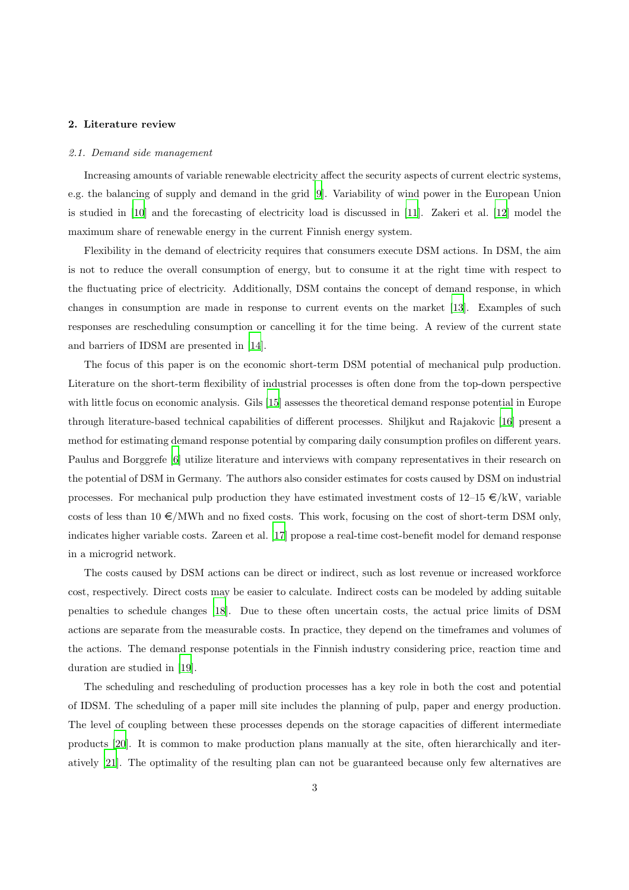## <span id="page-3-0"></span>2. Literature review

#### *2.1. Demand side management*

Increasing amounts of variable renewable electricity affect the security aspects of current electric systems, e.g. the balancing of supply and demand in the grid [\[9](#page-29-8)]. Variability of wind power in the European Union is studied in [\[10\]](#page-29-9) and the forecasting of electricity load is discussed in [\[11](#page-29-10)]. Zakeri et al. [\[12](#page-29-11)] model the maximum share of renewable energy in the current Finnish energy system.

Flexibility in the demand of electricity requires that consumers execute DSM actions. In DSM, the aim is not to reduce the overall consumption of energy, but to consume it at the right time with respect to the fluctuating price of electricity. Additionally, DSM contains the concept of demand response, in which changes in consumption are made in response to current events on the market [\[13](#page-29-12)]. Examples of such responses are rescheduling consumption or cancelling it for the time being. A review of the current state and barriers of IDSM are presented in [\[14\]](#page-29-13).

The focus of this paper is on the economic short-term DSM potential of mechanical pulp production. Literature on the short-term flexibility of industrial processes is often done from the top-down perspective with little focus on economic analysis. Gils [\[15\]](#page-29-14) assesses the theoretical demand response potential in Europe through literature-based technical capabilities of different processes. Shiljkut and Rajakovic [\[16](#page-29-15)] present a method for estimating demand response potential by comparing daily consumption profiles on different years. Paulus and Borggrefe [\[6\]](#page-29-5) utilize literature and interviews with company representatives in their research on the potential of DSM in Germany. The authors also consider estimates for costs caused by DSM on industrial processes. For mechanical pulp production they have estimated investment costs of  $12{\text{--}}15 \in /kW$ , variable costs of less than  $10 \in /MWh$  and no fixed costs. This work, focusing on the cost of short-term DSM only, indicates higher variable costs. Zareen et al. [\[17](#page-29-16)] propose a real-time cost-benefit model for demand response in a microgrid network.

The costs caused by DSM actions can be direct or indirect, such as lost revenue or increased workforce cost, respectively. Direct costs may be easier to calculate. Indirect costs can be modeled by adding suitable penalties to schedule changes [\[18](#page-29-17)]. Due to these often uncertain costs, the actual price limits of DSM actions are separate from the measurable costs. In practice, they depend on the timeframes and volumes of the actions. The demand response potentials in the Finnish industry considering price, reaction time and duration are studied in [\[19\]](#page-30-0).

The scheduling and rescheduling of production processes has a key role in both the cost and potential of IDSM. The scheduling of a paper mill site includes the planning of pulp, paper and energy production. The level of coupling between these processes depends on the storage capacities of different intermediate products [\[20](#page-30-1)]. It is common to make production plans manually at the site, often hierarchically and iteratively [\[21\]](#page-30-2). The optimality of the resulting plan can not be guaranteed because only few alternatives are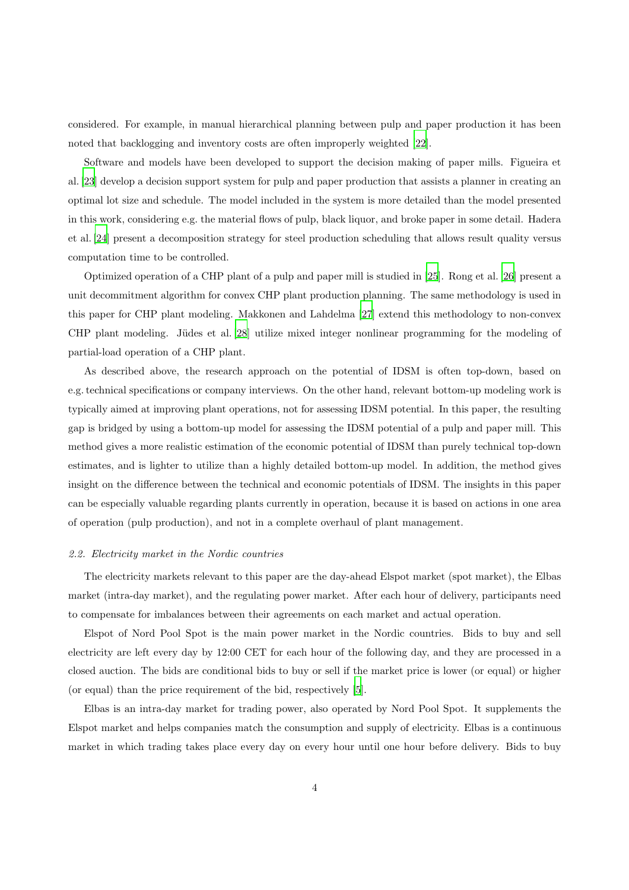considered. For example, in manual hierarchical planning between pulp and paper production it has been noted that backlogging and inventory costs are often improperly weighted [\[22\]](#page-30-3).

Software and models have been developed to support the decision making of paper mills. Figueira et al. [\[23](#page-30-4)] develop a decision support system for pulp and paper production that assists a planner in creating an optimal lot size and schedule. The model included in the system is more detailed than the model presented in this work, considering e.g. the material flows of pulp, black liquor, and broke paper in some detail. Hadera et al. [\[24](#page-30-5)] present a decomposition strategy for steel production scheduling that allows result quality versus computation time to be controlled.

Optimized operation of a CHP plant of a pulp and paper mill is studied in [\[25](#page-30-6)]. Rong et al. [\[26\]](#page-30-7) present a unit decommitment algorithm for convex CHP plant production planning. The same methodology is used in this paper for CHP plant modeling. Makkonen and Lahdelma [\[27](#page-30-8)] extend this methodology to non-convex CHP plant modeling. Jüdes et al. [\[28\]](#page-30-9) utilize mixed integer nonlinear programming for the modeling of partial-load operation of a CHP plant.

As described above, the research approach on the potential of IDSM is often top-down, based on e.g. technical specifications or company interviews. On the other hand, relevant bottom-up modeling work is typically aimed at improving plant operations, not for assessing IDSM potential. In this paper, the resulting gap is bridged by using a bottom-up model for assessing the IDSM potential of a pulp and paper mill. This method gives a more realistic estimation of the economic potential of IDSM than purely technical top-down estimates, and is lighter to utilize than a highly detailed bottom-up model. In addition, the method gives insight on the difference between the technical and economic potentials of IDSM. The insights in this paper can be especially valuable regarding plants currently in operation, because it is based on actions in one area of operation (pulp production), and not in a complete overhaul of plant management.

#### <span id="page-4-0"></span>*2.2. Electricity market in the Nordic countries*

The electricity markets relevant to this paper are the day-ahead Elspot market (spot market), the Elbas market (intra-day market), and the regulating power market. After each hour of delivery, participants need to compensate for imbalances between their agreements on each market and actual operation.

Elspot of Nord Pool Spot is the main power market in the Nordic countries. Bids to buy and sell electricity are left every day by 12:00 CET for each hour of the following day, and they are processed in a closed auction. The bids are conditional bids to buy or sell if the market price is lower (or equal) or higher (or equal) than the price requirement of the bid, respectively [\[5](#page-29-4)].

Elbas is an intra-day market for trading power, also operated by Nord Pool Spot. It supplements the Elspot market and helps companies match the consumption and supply of electricity. Elbas is a continuous market in which trading takes place every day on every hour until one hour before delivery. Bids to buy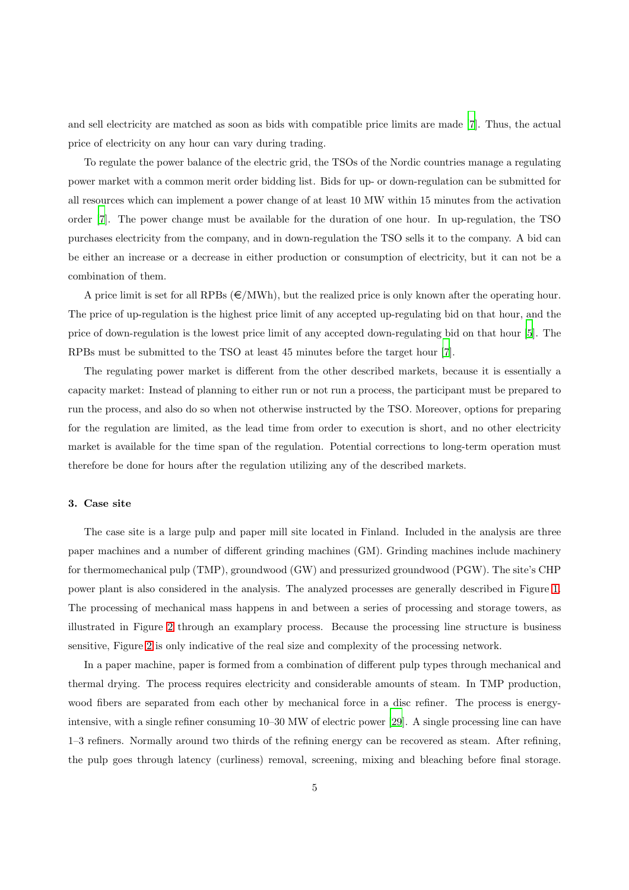and sell electricity are matched as soon as bids with compatible price limits are made [\[7](#page-29-6)]. Thus, the actual price of electricity on any hour can vary during trading.

To regulate the power balance of the electric grid, the TSOs of the Nordic countries manage a regulating power market with a common merit order bidding list. Bids for up- or down-regulation can be submitted for all resources which can implement a power change of at least 10 MW within 15 minutes from the activation order [\[7](#page-29-6)]. The power change must be available for the duration of one hour. In up-regulation, the TSO purchases electricity from the company, and in down-regulation the TSO sells it to the company. A bid can be either an increase or a decrease in either production or consumption of electricity, but it can not be a combination of them.

A price limit is set for all RPBs  $(\epsilon/MWh)$ , but the realized price is only known after the operating hour. The price of up-regulation is the highest price limit of any accepted up-regulating bid on that hour, and the price of down-regulation is the lowest price limit of any accepted down-regulating bid on that hour [\[5\]](#page-29-4). The RPBs must be submitted to the TSO at least 45 minutes before the target hour [\[7](#page-29-6)].

The regulating power market is different from the other described markets, because it is essentially a capacity market: Instead of planning to either run or not run a process, the participant must be prepared to run the process, and also do so when not otherwise instructed by the TSO. Moreover, options for preparing for the regulation are limited, as the lead time from order to execution is short, and no other electricity market is available for the time span of the regulation. Potential corrections to long-term operation must therefore be done for hours after the regulation utilizing any of the described markets.

#### <span id="page-5-0"></span>3. Case site

The case site is a large pulp and paper mill site located in Finland. Included in the analysis are three paper machines and a number of different grinding machines (GM). Grinding machines include machinery for thermomechanical pulp (TMP), groundwood (GW) and pressurized groundwood (PGW). The site's CHP power plant is also considered in the analysis. The analyzed processes are generally described in Figure [1.](#page-6-0) The processing of mechanical mass happens in and between a series of processing and storage towers, as illustrated in Figure [2](#page-6-1) through an examplary process. Because the processing line structure is business sensitive, Figure [2](#page-6-1) is only indicative of the real size and complexity of the processing network.

In a paper machine, paper is formed from a combination of different pulp types through mechanical and thermal drying. The process requires electricity and considerable amounts of steam. In TMP production, wood fibers are separated from each other by mechanical force in a disc refiner. The process is energyintensive, with a single refiner consuming 10–30 MW of electric power [\[29](#page-30-10)]. A single processing line can have 1–3 refiners. Normally around two thirds of the refining energy can be recovered as steam. After refining, the pulp goes through latency (curliness) removal, screening, mixing and bleaching before final storage.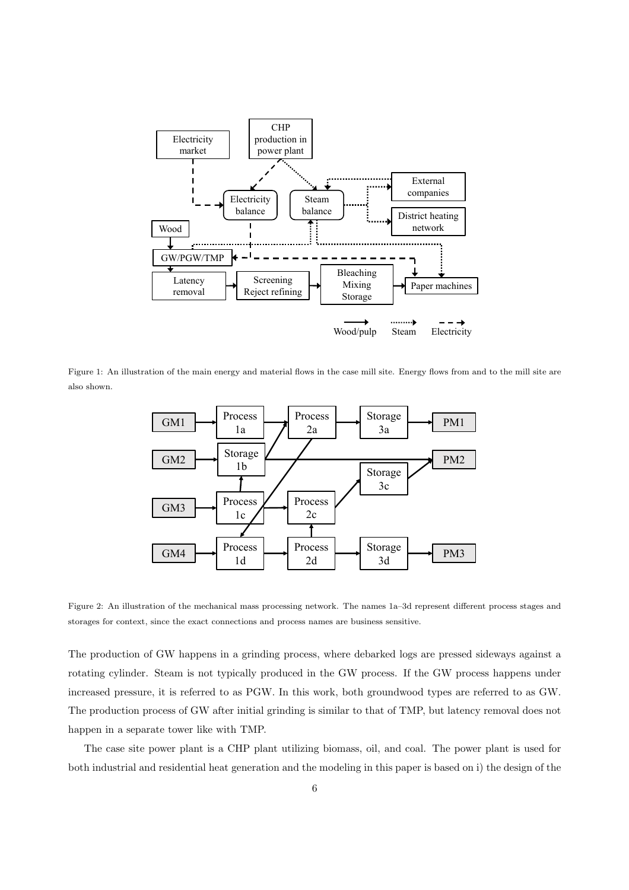

Figure 1: An illustration of the main energy and material flows in the case mill site. Energy flows from and to the mill site are also shown.

<span id="page-6-0"></span>

<span id="page-6-1"></span>Figure 2: An illustration of the mechanical mass processing network. The names 1a–3d represent different process stages and storages for context, since the exact connections and process names are business sensitive.

The production of GW happens in a grinding process, where debarked logs are pressed sideways against a rotating cylinder. Steam is not typically produced in the GW process. If the GW process happens under increased pressure, it is referred to as PGW. In this work, both groundwood types are referred to as GW. The production process of GW after initial grinding is similar to that of TMP, but latency removal does not happen in a separate tower like with TMP.

The case site power plant is a CHP plant utilizing biomass, oil, and coal. The power plant is used for both industrial and residential heat generation and the modeling in this paper is based on i) the design of the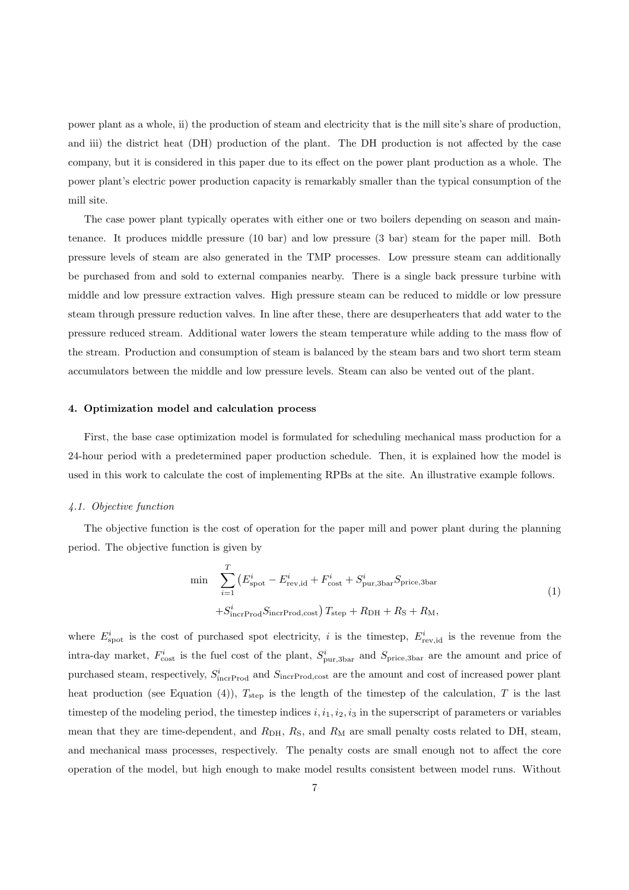power plant as a whole, ii) the production of steam and electricity that is the mill site's share of production, and iii) the district heat (DH) production of the plant. The DH production is not affected by the case company, but it is considered in this paper due to its effect on the power plant production as a whole. The power plant's electric power production capacity is remarkably smaller than the typical consumption of the mill site.

The case power plant typically operates with either one or two boilers depending on season and maintenance. It produces middle pressure (10 bar) and low pressure (3 bar) steam for the paper mill. Both pressure levels of steam are also generated in the TMP processes. Low pressure steam can additionally be purchased from and sold to external companies nearby. There is a single back pressure turbine with middle and low pressure extraction valves. High pressure steam can be reduced to middle or low pressure steam through pressure reduction valves. In line after these, there are desuperheaters that add water to the pressure reduced stream. Additional water lowers the steam temperature while adding to the mass flow of the stream. Production and consumption of steam is balanced by the steam bars and two short term steam accumulators between the middle and low pressure levels. Steam can also be vented out of the plant.

#### <span id="page-7-0"></span>4. Optimization model and calculation process

First, the base case optimization model is formulated for scheduling mechanical mass production for a 24-hour period with a predetermined paper production schedule. Then, it is explained how the model is used in this work to calculate the cost of implementing RPBs at the site. An illustrative example follows.

#### *4.1. Objective function*

The objective function is the cost of operation for the paper mill and power plant during the planning period. The objective function is given by

$$
\min \sum_{i=1}^{T} \left( E_{\text{spot}}^{i} - E_{\text{rev},id}^{i} + F_{\text{cost}}^{i} + S_{\text{pur},3\text{bar}}^{i} S_{\text{price},3\text{bar}} \right)
$$
  
+
$$
S_{\text{incrProd}}^{i} S_{\text{incrProd},\text{cost}} \right) T_{\text{step}} + R_{\text{DH}} + R_{\text{S}} + R_{\text{M}},
$$
  
(1)

where  $E_{\text{spot}}^i$  is the cost of purchased spot electricity, i is the timestep,  $E_{\text{rev,id}}^i$  is the revenue from the intra-day market,  $F_{\text{cost}}^i$  is the fuel cost of the plant,  $S_{\text{pur,3bar}}^i$  and  $S_{\text{price,3bar}}$  are the amount and price of purchased steam, respectively,  $S^i_{\text{incrProd}}$  and  $S_{\text{incrProd},\text{cost}}$  are the amount and cost of increased power plant heat production (see Equation (4)),  $T_{\text{step}}$  is the length of the timestep of the calculation, T is the last timestep of the modeling period, the timestep indices  $i, i_1, i_2, i_3$  in the superscript of parameters or variables mean that they are time-dependent, and  $R_{\text{DH}}$ ,  $R_{\text{S}}$ , and  $R_{\text{M}}$  are small penalty costs related to DH, steam, and mechanical mass processes, respectively. The penalty costs are small enough not to affect the core operation of the model, but high enough to make model results consistent between model runs. Without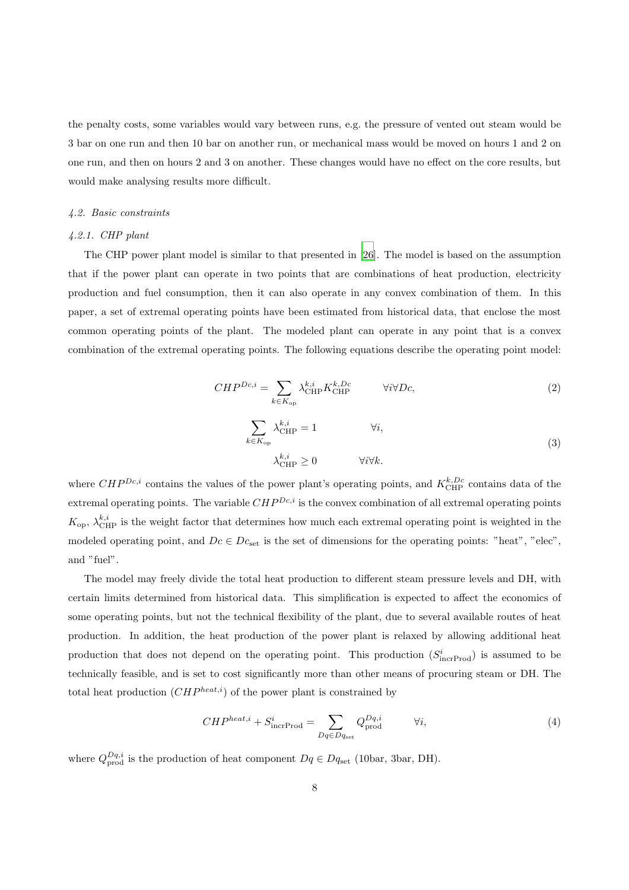the penalty costs, some variables would vary between runs, e.g. the pressure of vented out steam would be 3 bar on one run and then 10 bar on another run, or mechanical mass would be moved on hours 1 and 2 on one run, and then on hours 2 and 3 on another. These changes would have no effect on the core results, but would make analysing results more difficult.

#### <span id="page-8-0"></span>*4.2. Basic constraints*

#### *4.2.1. CHP plant*

The CHP power plant model is similar to that presented in [\[26](#page-30-7)]. The model is based on the assumption that if the power plant can operate in two points that are combinations of heat production, electricity production and fuel consumption, then it can also operate in any convex combination of them. In this paper, a set of extremal operating points have been estimated from historical data, that enclose the most common operating points of the plant. The modeled plant can operate in any point that is a convex combination of the extremal operating points. The following equations describe the operating point model:

$$
CHP^{Dc,i} = \sum_{k \in K_{\text{op}}} \lambda_{\text{CHP}}^{k,i} K_{\text{CHP}}^{k, Dc} \qquad \forall i \forall Dc,
$$
\n
$$
(2)
$$

$$
\sum_{k \in K_{\text{op}}} \lambda_{\text{CHP}}^{k,i} = 1 \qquad \forall i,
$$
\n
$$
\lambda_{\text{CHP}}^{k,i} \ge 0 \qquad \forall i \forall k.
$$
\n(3)

where  $CHP^{Dc,i}$  contains the values of the power plant's operating points, and  $K_{\text{CHP}}^{k, Dc}$  contains data of the extremal operating points. The variable  $CHP^{Dc,i}$  is the convex combination of all extremal operating points  $K_{\text{op}}$ ,  $\lambda_{\text{CHP}}^{k,i}$  is the weight factor that determines how much each extremal operating point is weighted in the modeled operating point, and  $Dc \in Dc_{set}$  is the set of dimensions for the operating points: "heat", "elec", and "fuel".

The model may freely divide the total heat production to different steam pressure levels and DH, with certain limits determined from historical data. This simplification is expected to affect the economics of some operating points, but not the technical flexibility of the plant, due to several available routes of heat production. In addition, the heat production of the power plant is relaxed by allowing additional heat production that does not depend on the operating point. This production  $(S_{\text{incrProd}}^i)$  is assumed to be technically feasible, and is set to cost significantly more than other means of procuring steam or DH. The total heat production  $(CHP^{heat,i})$  of the power plant is constrained by

$$
CHP^{heat,i} + S_{\text{incrProd}}^i = \sum_{Dq \in Dq_{\text{set}}} Q_{\text{prod}}^{Dq,i} \qquad \forall i,
$$
\n
$$
(4)
$$

where  $Q_{\text{prod}}^{Dq,i}$  is the production of heat component  $Dq \in Dq_{\text{set}}$  (10bar, 3bar, DH).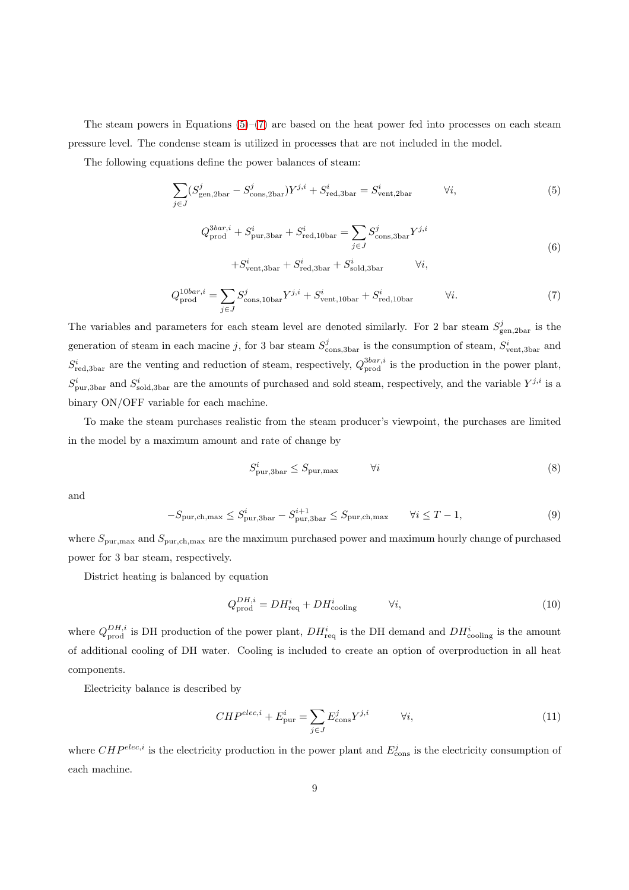The steam powers in Equations  $(5)-(7)$  $(5)-(7)$  are based on the heat power fed into processes on each steam pressure level. The condense steam is utilized in processes that are not included in the model.

The following equations define the power balances of steam:

$$
\sum_{j \in J} (S_{\text{gen,2bar}}^j - S_{\text{cons,2bar}}^j) Y^{j,i} + S_{\text{red,3bar}}^i = S_{\text{vent,2bar}}^i \qquad \forall i,
$$
\n
$$
(5)
$$

<span id="page-9-0"></span>
$$
Q_{\text{prod}}^{3bar,i} + S_{\text{pur},3\text{bar}}^{i} + S_{\text{red},10\text{bar}}^{i} = \sum_{j \in J} S_{\text{cons},3\text{bar}}^{j} Y^{j,i}
$$
  
+
$$
S_{\text{vent},3\text{bar}}^{i} + S_{\text{red},3\text{bar}}^{i} + S_{\text{gold},3\text{bar}}^{i} \qquad \forall i,
$$

$$
(6)
$$

$$
Q_{\text{prod}}^{10bar,i} = \sum_{j \in J} S_{\text{cons},10bar}^j Y^{j,i} + S_{\text{vent},10bar}^i + S_{\text{red},10bar}^i \qquad \forall i. \tag{7}
$$

<span id="page-9-1"></span>The variables and parameters for each steam level are denoted similarly. For 2 bar steam  $S_{\text{gen,2bar}}^j$  is the generation of steam in each macine j, for 3 bar steam  $S_{\text{cons,3bar}}^j$  is the consumption of steam,  $S_{\text{vent,3bar}}^i$  and  $S_{\text{red,3bar}}^i$  are the venting and reduction of steam, respectively,  $Q_{\text{prod}}^{3bar,i}$  is the production in the power plant,  $S_{\text{pur,3bar}}^i$  and  $S_{\text{sold,3bar}}^i$  are the amounts of purchased and sold steam, respectively, and the variable  $Y^{j,i}$  is a binary ON/OFF variable for each machine.

To make the steam purchases realistic from the steam producer's viewpoint, the purchases are limited in the model by a maximum amount and rate of change by

$$
S_{\text{pur},3\text{bar}}^i \le S_{\text{pur},\text{max}} \qquad \qquad \forall i \tag{8}
$$

and

$$
-S_{\text{pur},\text{ch},\text{max}} \le S_{\text{pur},3\text{bar}}^i - S_{\text{pur},3\text{bar}}^{i+1} \le S_{\text{pur},\text{ch},\text{max}} \qquad \forall i \le T - 1,\tag{9}
$$

where  $S_{\text{pur,max}}$  and  $S_{\text{pur,ch,max}}$  are the maximum purchased power and maximum hourly change of purchased power for 3 bar steam, respectively.

District heating is balanced by equation

$$
Q_{\text{prod}}^{DH,i} = DH_{\text{req}}^{i} + DH_{\text{cooling}}^{i} \qquad \forall i,
$$
\n
$$
(10)
$$

where  $Q_{\text{prod}}^{DH,i}$  is DH production of the power plant,  $DH_{\text{req}}^{i}$  is the DH demand and  $DH_{\text{cooling}}^{i}$  is the amount of additional cooling of DH water. Cooling is included to create an option of overproduction in all heat components.

Electricity balance is described by

$$
CHP^{elec,i} + E_{\text{pur}}^{i} = \sum_{j \in J} E_{\text{cons}}^{j} Y^{j,i} \qquad \forall i,
$$
\n(11)

where  $CHP^{elec,i}$  is the electricity production in the power plant and  $E_{\text{cons}}^{j}$  is the electricity consumption of each machine.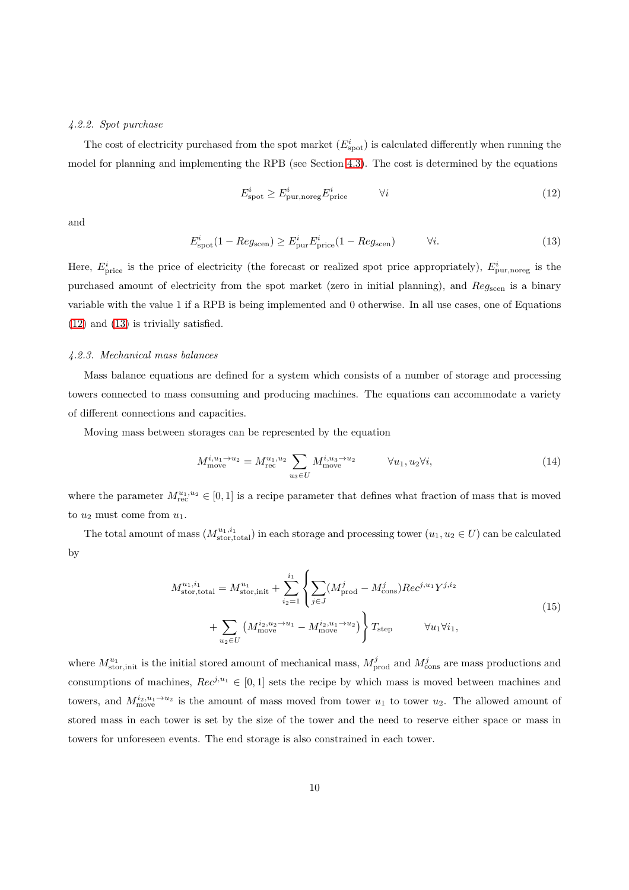#### *4.2.2. Spot purchase*

The cost of electricity purchased from the spot market  $(E_{\text{spot}}^i)$  is calculated differently when running the model for planning and implementing the RPB (see Section [4.3\)](#page-11-0). The cost is determined by the equations

<span id="page-10-0"></span>
$$
E_{\text{spot}}^{i} \ge E_{\text{pur,noreg}}^{i} E_{\text{price}}^{i} \qquad \forall i
$$
\n
$$
(12)
$$

<span id="page-10-1"></span>and

$$
E_{\text{spot}}^{i}(1 - Reg_{\text{seen}}) \ge E_{\text{pur}}^{i}E_{\text{price}}^{i}(1 - Reg_{\text{seen}}) \qquad \forall i.
$$
 (13)

Here,  $E_{\text{price}}^i$  is the price of electricity (the forecast or realized spot price appropriately),  $E_{\text{pur,more}}^i$  is the purchased amount of electricity from the spot market (zero in initial planning), and Reg<sub>scen</sub> is a binary variable with the value 1 if a RPB is being implemented and 0 otherwise. In all use cases, one of Equations [\(12\)](#page-10-0) and [\(13\)](#page-10-1) is trivially satisfied.

#### *4.2.3. Mechanical mass balances*

Mass balance equations are defined for a system which consists of a number of storage and processing towers connected to mass consuming and producing machines. The equations can accommodate a variety of different connections and capacities.

Moving mass between storages can be represented by the equation

$$
M_{\text{move}}^{i, u_1 \to u_2} = M_{\text{rec}}^{u_1, u_2} \sum_{u_3 \in U} M_{\text{move}}^{i, u_3 \to u_2} \qquad \forall u_1, u_2 \forall i,
$$
\n
$$
(14)
$$

where the parameter  $M_{\text{rec}}^{u_1, u_2} \in [0, 1]$  is a recipe parameter that defines what fraction of mass that is moved to  $u_2$  must come from  $u_1$ .

The total amount of mass  $(M_{\text{stor,total}}^{u_1,i_1})$  in each storage and processing tower  $(u_1, u_2 \in U)$  can be calculated by

$$
M_{\text{stor,total}}^{u_1,i_1} = M_{\text{stor,init}}^{u_1} + \sum_{i_2=1}^{i_1} \left\{ \sum_{j \in J} (M_{\text{prod}}^j - M_{\text{cons}}^j) Rec^{j, u_1} Y^{j, i_2} + \sum_{u_2 \in U} (M_{\text{move}}^{i_2, u_2 \to u_1} - M_{\text{move}}^{i_2, u_1 \to u_2}) \right\} T_{\text{step}} \qquad \forall u_1 \forall i_1,
$$
\n(15)

where  $M_{\text{stor,init}}^{u_1}$  is the initial stored amount of mechanical mass,  $M_{\text{prod}}^j$  and  $M_{\text{cons}}^j$  are mass productions and consumptions of machines,  $Rec^{j,u_1} \in [0,1]$  sets the recipe by which mass is moved between machines and towers, and  $M_{\text{move}}^{i_2, u_1 \rightarrow u_2}$  is the amount of mass moved from tower  $u_1$  to tower  $u_2$ . The allowed amount of stored mass in each tower is set by the size of the tower and the need to reserve either space or mass in towers for unforeseen events. The end storage is also constrained in each tower.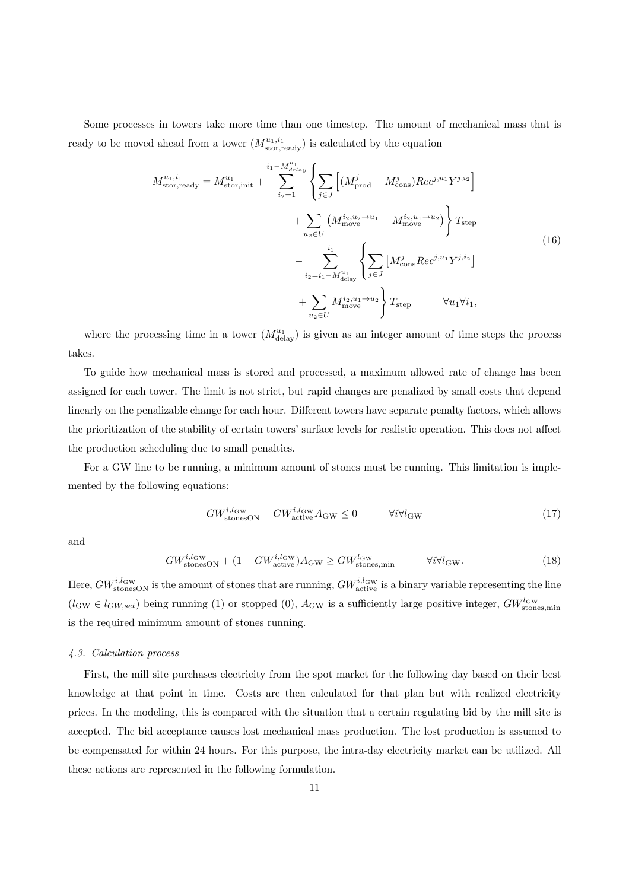Some processes in towers take more time than one timestep. The amount of mechanical mass that is ready to be moved ahead from a tower  $(M_{\text{stor,ready}}^{u_1,i_1})$  is calculated by the equation

$$
M_{\text{stor,ready}}^{u_1, i_1} = M_{\text{stor,init}}^{u_1} + \sum_{i_2=1}^{i_1 - M_{\text{delay}}^{u_1}} \left\{ \sum_{j \in J} \left[ (M_{\text{prod}}^j - M_{\text{cons}}^j) Rec^{j, u_1} Y^{j, i_2} \right] + \sum_{u_2 \in U} \left( M_{\text{move}}^{i_2, u_2 \to u_1} - M_{\text{move}}^{i_2, u_1 \to u_2} \right) \right\} T_{\text{step}}
$$
\n
$$
- \sum_{i_2 = i_1 - M_{\text{delay}}^{u_1}}^{i_1} \left\{ \sum_{j \in J} \left[ M_{\text{cons}}^j Rec^{j, u_1} Y^{j, i_2} \right] + \sum_{u_2 \in U} M_{\text{move}}^{i_2, u_1 \to u_2} \right\} T_{\text{step}}
$$
\n
$$
+ \sum_{u_2 \in U} M_{\text{move}}^{i_2, u_1 \to u_2} \left\} T_{\text{step}}
$$
\n
$$
\forall u_1 \forall i_1,
$$
\n(16)

where the processing time in a tower  $(M_{\text{delay}}^{u_1})$  is given as an integer amount of time steps the process takes.

To guide how mechanical mass is stored and processed, a maximum allowed rate of change has been assigned for each tower. The limit is not strict, but rapid changes are penalized by small costs that depend linearly on the penalizable change for each hour. Different towers have separate penalty factors, which allows the prioritization of the stability of certain towers' surface levels for realistic operation. This does not affect the production scheduling due to small penalties.

For a GW line to be running, a minimum amount of stones must be running. This limitation is implemented by the following equations:

$$
GW_{\text{stonesON}}^{i,l_{\text{GW}}} - GW_{\text{active}}^{i,l_{\text{GW}}} A_{\text{GW}} \le 0 \qquad \forall i \forall l_{\text{GW}}
$$
\n
$$
(17)
$$

and

$$
GW_{\text{stonesON}}^{i,l_{\text{GW}}} + (1 - GW_{\text{active}}^{i,l_{\text{GW}}}) A_{\text{GW}} \ge GW_{\text{stones,min}}^{l_{\text{GW}}} \qquad \forall i \forall l_{\text{GW}}.
$$
 (18)

Here,  $GW^{i, l_Gw}_{\text{stonesON}}$  is the amount of stones that are running,  $GW^{i, l_Gw}_{\text{active}}$  is a binary variable representing the line  $(l_{\rm GW} \in l_{GW,set})$  being running (1) or stopped (0),  $A_{\rm GW}$  is a sufficiently large positive integer,  $GW^{l_{\rm GW}}_{\rm stones,min}$ is the required minimum amount of stones running.

#### <span id="page-11-0"></span>*4.3. Calculation process*

First, the mill site purchases electricity from the spot market for the following day based on their best knowledge at that point in time. Costs are then calculated for that plan but with realized electricity prices. In the modeling, this is compared with the situation that a certain regulating bid by the mill site is accepted. The bid acceptance causes lost mechanical mass production. The lost production is assumed to be compensated for within 24 hours. For this purpose, the intra-day electricity market can be utilized. All these actions are represented in the following formulation.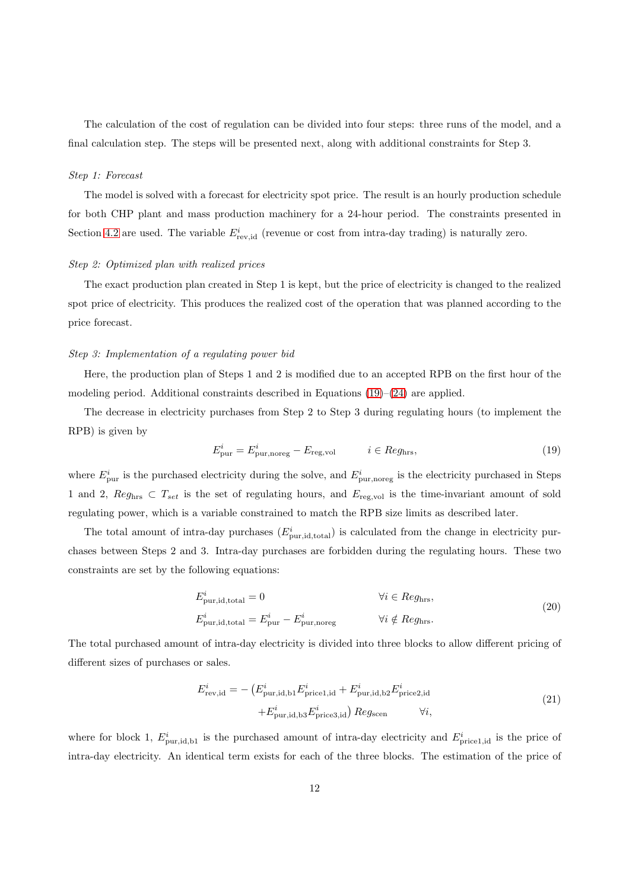The calculation of the cost of regulation can be divided into four steps: three runs of the model, and a final calculation step. The steps will be presented next, along with additional constraints for Step 3.

#### *Step 1: Forecast*

The model is solved with a forecast for electricity spot price. The result is an hourly production schedule for both CHP plant and mass production machinery for a 24-hour period. The constraints presented in Section [4.2](#page-8-0) are used. The variable  $E_{\text{rev,id}}^i$  (revenue or cost from intra-day trading) is naturally zero.

#### *Step 2: Optimized plan with realized prices*

The exact production plan created in Step 1 is kept, but the price of electricity is changed to the realized spot price of electricity. This produces the realized cost of the operation that was planned according to the price forecast.

#### *Step 3: Implementation of a regulating power bid*

Here, the production plan of Steps 1 and 2 is modified due to an accepted RPB on the first hour of the modeling period. Additional constraints described in Equations  $(19)$ – $(24)$  are applied.

The decrease in electricity purchases from Step 2 to Step 3 during regulating hours (to implement the RPB) is given by

<span id="page-12-0"></span>
$$
E_{\text{pur}}^i = E_{\text{pur,moreg}}^i - E_{\text{reg,vol}} \qquad i \in Reg_{\text{hrs}},\tag{19}
$$

where  $E_{\text{pur}}^i$  is the purchased electricity during the solve, and  $E_{\text{pur, noreg}}^i$  is the electricity purchased in Steps 1 and 2,  $Reg_{\text{hrs}} \subset T_{set}$  is the set of regulating hours, and  $E_{\text{reg,vol}}$  is the time-invariant amount of sold regulating power, which is a variable constrained to match the RPB size limits as described later.

The total amount of intra-day purchases  $(E_{\text{pur},\text{id,total}}^i)$  is calculated from the change in electricity purchases between Steps 2 and 3. Intra-day purchases are forbidden during the regulating hours. These two constraints are set by the following equations:

$$
E_{\text{pur},\text{id,total}}^{i} = 0 \qquad \qquad \forall i \in Reg_{\text{hrs}},
$$
  

$$
E_{\text{pur},\text{id,total}}^{i} = E_{\text{pur}}^{i} - E_{\text{pur,noreg}}^{i} \qquad \qquad \forall i \notin Reg_{\text{hrs}}.
$$
 (20)

The total purchased amount of intra-day electricity is divided into three blocks to allow different pricing of different sizes of purchases or sales.

<span id="page-12-1"></span>
$$
E_{\text{rev},\text{id}}^i = -\left(E_{\text{pur},\text{id},\text{b1}}^i E_{\text{price1},\text{id}}^i + E_{\text{pur},\text{id},\text{b2}}^i E_{\text{price2},\text{id}}^i + E_{\text{pur},\text{id},\text{b3}}^i E_{\text{price3},\text{id}}^i\right) Reg_{\text{seen}} \qquad \forall i,
$$
\n(21)

where for block 1,  $E_{\text{pur},\text{id},\text{b1}}^i$  is the purchased amount of intra-day electricity and  $E_{\text{price1},\text{id}}^i$  is the price of intra-day electricity. An identical term exists for each of the three blocks. The estimation of the price of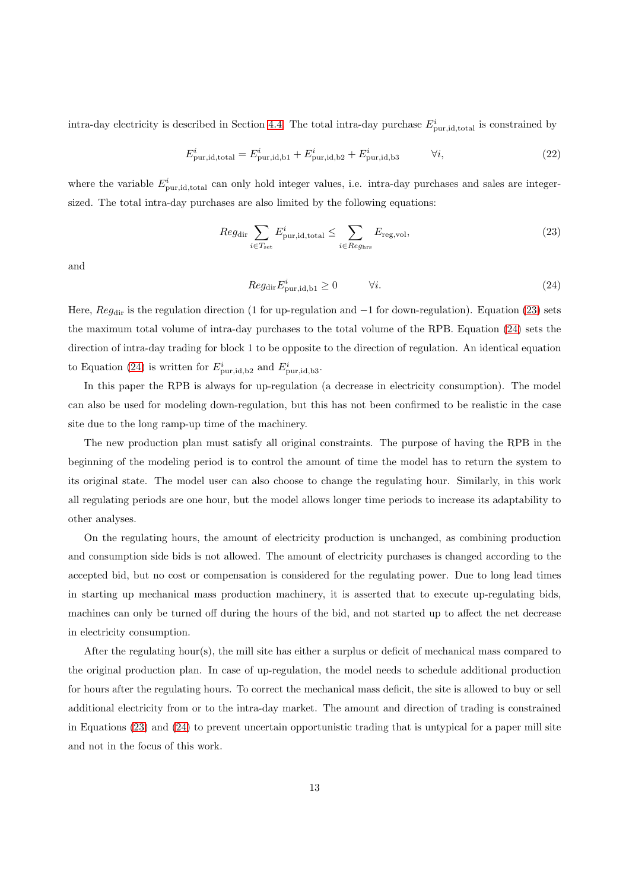intra-day electricity is described in Section [4.4.](#page-14-0) The total intra-day purchase  $E_{\text{pur},\text{id,total}}^{i}$  is constrained by

$$
E_{\text{pur},\text{id},\text{total}}^{i} = E_{\text{pur},\text{id},\text{b1}}^{i} + E_{\text{pur},\text{id},\text{b2}}^{i} + E_{\text{pur},\text{id},\text{b3}}^{i} \qquad \forall i,
$$
\n
$$
(22)
$$

where the variable  $E_{\text{pur},\text{id},\text{total}}^i$  can only hold integer values, i.e. intra-day purchases and sales are integersized. The total intra-day purchases are also limited by the following equations:

$$
Reg_{\text{dir}} \sum_{i \in T_{\text{set}}} E_{\text{pur}, \text{id}, \text{total}}^{i} \le \sum_{i \in Reg_{\text{hrs}}} E_{\text{reg}, \text{vol}},\tag{23}
$$

<span id="page-13-0"></span>and

<span id="page-13-1"></span>
$$
Reg_{\text{dir}} E_{\text{pur},\text{id},\text{b1}}^i \ge 0 \qquad \forall i. \tag{24}
$$

Here,  $Reg_{dir}$  is the regulation direction (1 for up-regulation and  $-1$  for down-regulation). Equation [\(23\)](#page-13-1) sets the maximum total volume of intra-day purchases to the total volume of the RPB. Equation [\(24\)](#page-13-0) sets the direction of intra-day trading for block 1 to be opposite to the direction of regulation. An identical equation to Equation [\(24\)](#page-13-0) is written for  $E_{\text{pur},\text{id},\text{b2}}^i$  and  $E_{\text{pur},\text{id},\text{b3}}^i$ .

In this paper the RPB is always for up-regulation (a decrease in electricity consumption). The model can also be used for modeling down-regulation, but this has not been confirmed to be realistic in the case site due to the long ramp-up time of the machinery.

The new production plan must satisfy all original constraints. The purpose of having the RPB in the beginning of the modeling period is to control the amount of time the model has to return the system to its original state. The model user can also choose to change the regulating hour. Similarly, in this work all regulating periods are one hour, but the model allows longer time periods to increase its adaptability to other analyses.

On the regulating hours, the amount of electricity production is unchanged, as combining production and consumption side bids is not allowed. The amount of electricity purchases is changed according to the accepted bid, but no cost or compensation is considered for the regulating power. Due to long lead times in starting up mechanical mass production machinery, it is asserted that to execute up-regulating bids, machines can only be turned off during the hours of the bid, and not started up to affect the net decrease in electricity consumption.

After the regulating hour(s), the mill site has either a surplus or deficit of mechanical mass compared to the original production plan. In case of up-regulation, the model needs to schedule additional production for hours after the regulating hours. To correct the mechanical mass deficit, the site is allowed to buy or sell additional electricity from or to the intra-day market. The amount and direction of trading is constrained in Equations [\(23\)](#page-13-1) and [\(24\)](#page-13-0) to prevent uncertain opportunistic trading that is untypical for a paper mill site and not in the focus of this work.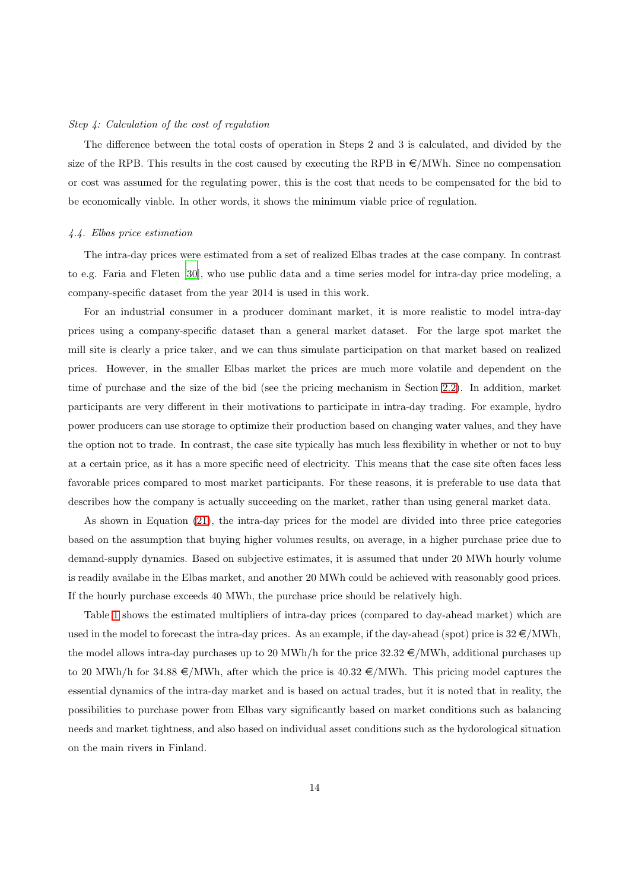#### *Step 4: Calculation of the cost of regulation*

The difference between the total costs of operation in Steps 2 and 3 is calculated, and divided by the size of the RPB. This results in the cost caused by executing the RPB in  $\epsilon/MWh$ . Since no compensation or cost was assumed for the regulating power, this is the cost that needs to be compensated for the bid to be economically viable. In other words, it shows the minimum viable price of regulation.

#### <span id="page-14-0"></span>*4.4. Elbas price estimation*

The intra-day prices were estimated from a set of realized Elbas trades at the case company. In contrast to e.g. Faria and Fleten [\[30\]](#page-30-11), who use public data and a time series model for intra-day price modeling, a company-specific dataset from the year 2014 is used in this work.

For an industrial consumer in a producer dominant market, it is more realistic to model intra-day prices using a company-specific dataset than a general market dataset. For the large spot market the mill site is clearly a price taker, and we can thus simulate participation on that market based on realized prices. However, in the smaller Elbas market the prices are much more volatile and dependent on the time of purchase and the size of the bid (see the pricing mechanism in Section [2.2\)](#page-4-0). In addition, market participants are very different in their motivations to participate in intra-day trading. For example, hydro power producers can use storage to optimize their production based on changing water values, and they have the option not to trade. In contrast, the case site typically has much less flexibility in whether or not to buy at a certain price, as it has a more specific need of electricity. This means that the case site often faces less favorable prices compared to most market participants. For these reasons, it is preferable to use data that describes how the company is actually succeeding on the market, rather than using general market data.

As shown in Equation [\(21\)](#page-12-1), the intra-day prices for the model are divided into three price categories based on the assumption that buying higher volumes results, on average, in a higher purchase price due to demand-supply dynamics. Based on subjective estimates, it is assumed that under 20 MWh hourly volume is readily availabe in the Elbas market, and another 20 MWh could be achieved with reasonably good prices. If the hourly purchase exceeds 40 MWh, the purchase price should be relatively high.

Table [1](#page-15-0) shows the estimated multipliers of intra-day prices (compared to day-ahead market) which are used in the model to forecast the intra-day prices. As an example, if the day-ahead (spot) price is  $32 \in /MWh$ , the model allows intra-day purchases up to 20 MWh/h for the price  $32.32 \in /MWh$ , additional purchases up to 20 MWh/h for 34.88  $\epsilon$ /MWh, after which the price is 40.32  $\epsilon$ /MWh. This pricing model captures the essential dynamics of the intra-day market and is based on actual trades, but it is noted that in reality, the possibilities to purchase power from Elbas vary significantly based on market conditions such as balancing needs and market tightness, and also based on individual asset conditions such as the hydorological situation on the main rivers in Finland.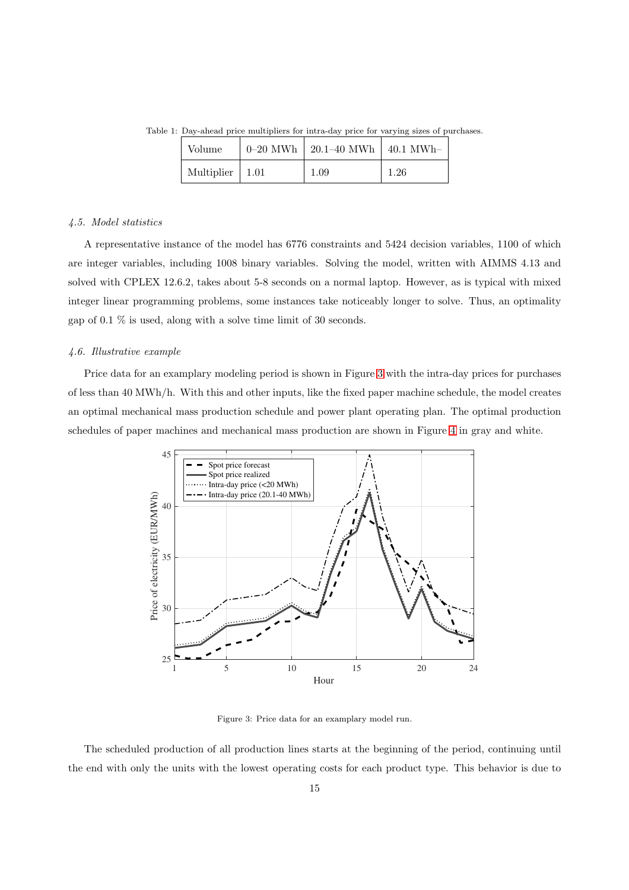<span id="page-15-0"></span>

| Volume                  | $0-20$ MWh   20.1–40 MWh   40.1 MWh |      |
|-------------------------|-------------------------------------|------|
| Multiplier $\vert$ 1.01 | 1.09                                | 1.26 |

Table 1: Day-ahead price multipliers for intra-day price for varying sizes of purchases.

#### *4.5. Model statistics*

A representative instance of the model has 6776 constraints and 5424 decision variables, 1100 of which are integer variables, including 1008 binary variables. Solving the model, written with AIMMS 4.13 and solved with CPLEX 12.6.2, takes about 5-8 seconds on a normal laptop. However, as is typical with mixed integer linear programming problems, some instances take noticeably longer to solve. Thus, an optimality gap of 0.1  $\%$  is used, along with a solve time limit of 30 seconds.

## *4.6. Illustrative example*

Price data for an examplary modeling period is shown in Figure [3](#page-15-1) with the intra-day prices for purchases of less than 40 MWh/h. With this and other inputs, like the fixed paper machine schedule, the model creates an optimal mechanical mass production schedule and power plant operating plan. The optimal production schedules of paper machines and mechanical mass production are shown in Figure [4](#page-16-0) in gray and white.



<span id="page-15-1"></span>Figure 3: Price data for an examplary model run.

The scheduled production of all production lines starts at the beginning of the period, continuing until the end with only the units with the lowest operating costs for each product type. This behavior is due to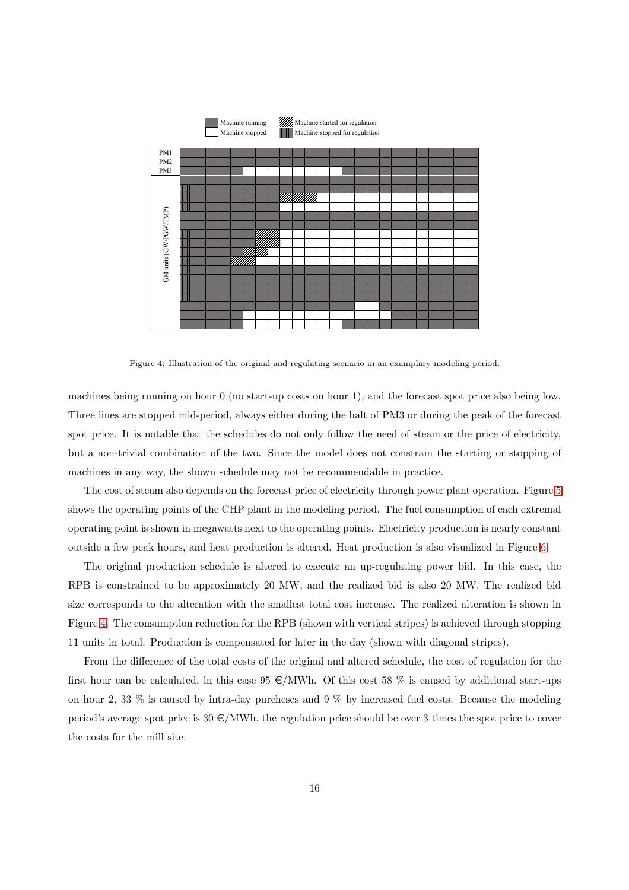

<span id="page-16-0"></span>Figure 4: Illustration of the original and regulating scenario in an examplary modeling period.

machines being running on hour 0 (no start-up costs on hour 1), and the forecast spot price also being low. Three lines are stopped mid-period, always either during the halt of PM3 or during the peak of the forecast spot price. It is notable that the schedules do not only follow the need of steam or the price of electricity, but a non-trivial combination of the two. Since the model does not constrain the starting or stopping of machines in any way, the shown schedule may not be recommendable in practice.

The cost of steam also depends on the forecast price of electricity through power plant operation. Figure [5](#page-17-1) shows the operating points of the CHP plant in the modeling period. The fuel consumption of each extremal operating point is shown in megawatts next to the operating points. Electricity production is nearly constant outside a few peak hours, and heat production is altered. Heat production is also visualized in Figure [6.](#page-17-2)

The original production schedule is altered to execute an up-regulating power bid. In this case, the RPB is constrained to be approximately 20 MW, and the realized bid is also 20 MW. The realized bid size corresponds to the alteration with the smallest total cost increase. The realized alteration is shown in Figure [4.](#page-16-0) The consumption reduction for the RPB (shown with vertical stripes) is achieved through stopping 11 units in total. Production is compensated for later in the day (shown with diagonal stripes).

From the difference of the total costs of the original and altered schedule, the cost of regulation for the first hour can be calculated, in this case  $95 \in \text{/MWh}$ . Of this cost 58 % is caused by additional start-ups on hour 2, 33 % is caused by intra-day purcheses and 9 % by increased fuel costs. Because the modeling period's average spot price is  $30 \in /MWh$ , the regulation price should be over 3 times the spot price to cover the costs for the mill site.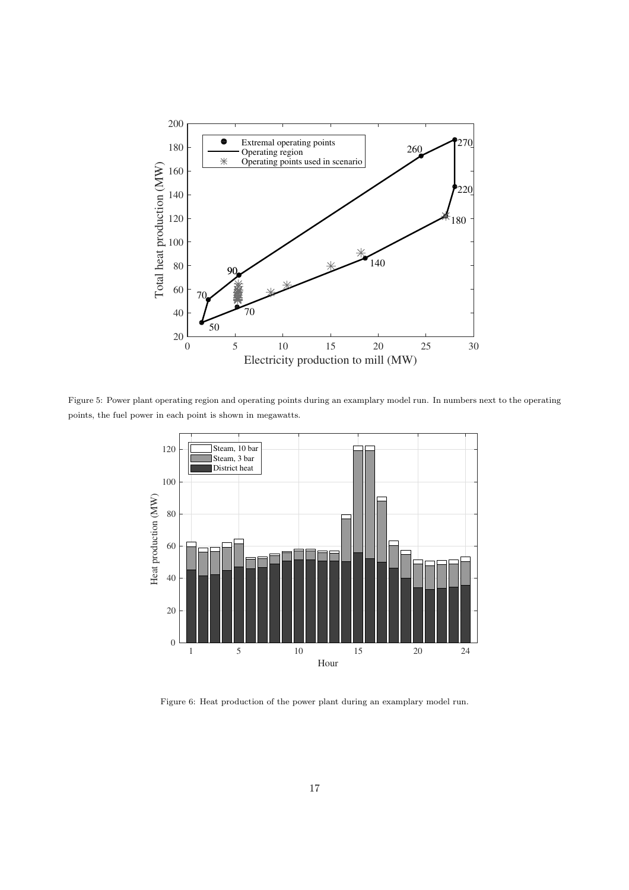

Figure 5: Power plant operating region and operating points during an examplary model run. In numbers next to the operating points, the fuel power in each point is shown in megawatts.

<span id="page-17-1"></span>

<span id="page-17-2"></span><span id="page-17-0"></span>Figure 6: Heat production of the power plant during an examplary model run.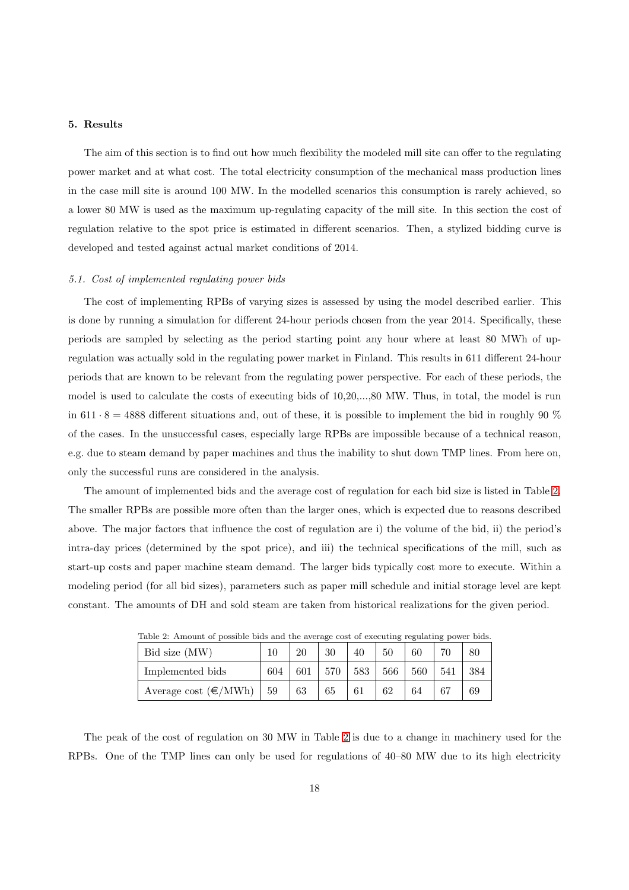## 5. Results

The aim of this section is to find out how much flexibility the modeled mill site can offer to the regulating power market and at what cost. The total electricity consumption of the mechanical mass production lines in the case mill site is around 100 MW. In the modelled scenarios this consumption is rarely achieved, so a lower 80 MW is used as the maximum up-regulating capacity of the mill site. In this section the cost of regulation relative to the spot price is estimated in different scenarios. Then, a stylized bidding curve is developed and tested against actual market conditions of 2014.

#### *5.1. Cost of implemented regulating power bids*

The cost of implementing RPBs of varying sizes is assessed by using the model described earlier. This is done by running a simulation for different 24-hour periods chosen from the year 2014. Specifically, these periods are sampled by selecting as the period starting point any hour where at least 80 MWh of upregulation was actually sold in the regulating power market in Finland. This results in 611 different 24-hour periods that are known to be relevant from the regulating power perspective. For each of these periods, the model is used to calculate the costs of executing bids of 10,20,...,80 MW. Thus, in total, the model is run in 611 · 8 = 4888 different situations and, out of these, it is possible to implement the bid in roughly 90  $\%$ of the cases. In the unsuccessful cases, especially large RPBs are impossible because of a technical reason, e.g. due to steam demand by paper machines and thus the inability to shut down TMP lines. From here on, only the successful runs are considered in the analysis.

The amount of implemented bids and the average cost of regulation for each bid size is listed in Table [2.](#page-18-0) The smaller RPBs are possible more often than the larger ones, which is expected due to reasons described above. The major factors that influence the cost of regulation are i) the volume of the bid, ii) the period's intra-day prices (determined by the spot price), and iii) the technical specifications of the mill, such as start-up costs and paper machine steam demand. The larger bids typically cost more to execute. Within a modeling period (for all bid sizes), parameters such as paper mill schedule and initial storage level are kept constant. The amounts of DH and sold steam are taken from historical realizations for the given period.

| Table 2: Amount of possible bids and the average cost of executing regulating power bids. |     |     |     |     |     |     |     |     |
|-------------------------------------------------------------------------------------------|-----|-----|-----|-----|-----|-----|-----|-----|
| Bid size (MW)                                                                             |     | 20  | 30  | 40  | 50  | 60  |     | 80  |
| Implemented bids                                                                          | 604 | 601 | 570 | 583 | 566 | 560 | 541 | 384 |
| Average cost $(\epsilon/MWh)$   59                                                        |     | 63  | 65  | 61  | 62  | 64  | 67  | 69  |

<span id="page-18-0"></span>Table 2: Amount of possible bids and the average cost of executing regulating power bids.

The peak of the cost of regulation on 30 MW in Table [2](#page-18-0) is due to a change in machinery used for the RPBs. One of the TMP lines can only be used for regulations of 40–80 MW due to its high electricity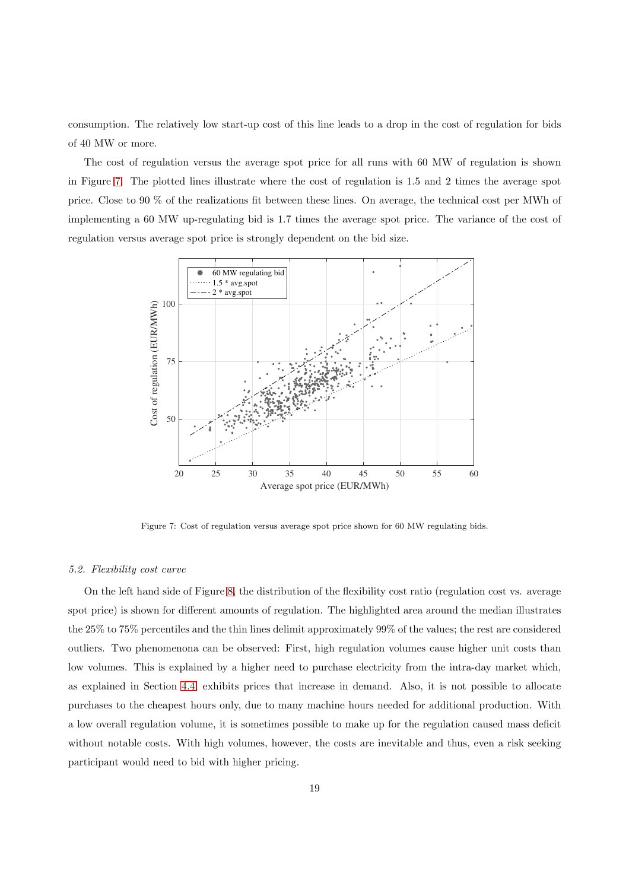consumption. The relatively low start-up cost of this line leads to a drop in the cost of regulation for bids of 40 MW or more.

The cost of regulation versus the average spot price for all runs with 60 MW of regulation is shown in Figure [7.](#page-19-0) The plotted lines illustrate where the cost of regulation is 1.5 and 2 times the average spot price. Close to 90 % of the realizations fit between these lines. On average, the technical cost per MWh of implementing a 60 MW up-regulating bid is 1.7 times the average spot price. The variance of the cost of regulation versus average spot price is strongly dependent on the bid size.



<span id="page-19-0"></span>Figure 7: Cost of regulation versus average spot price shown for 60 MW regulating bids.

#### *5.2. Flexibility cost curve*

On the left hand side of Figure [8,](#page-20-0) the distribution of the flexibility cost ratio (regulation cost vs. average spot price) is shown for different amounts of regulation. The highlighted area around the median illustrates the 25% to 75% percentiles and the thin lines delimit approximately 99% of the values; the rest are considered outliers. Two phenomenona can be observed: First, high regulation volumes cause higher unit costs than low volumes. This is explained by a higher need to purchase electricity from the intra-day market which, as explained in Section [4.4,](#page-14-0) exhibits prices that increase in demand. Also, it is not possible to allocate purchases to the cheapest hours only, due to many machine hours needed for additional production. With a low overall regulation volume, it is sometimes possible to make up for the regulation caused mass deficit without notable costs. With high volumes, however, the costs are inevitable and thus, even a risk seeking participant would need to bid with higher pricing.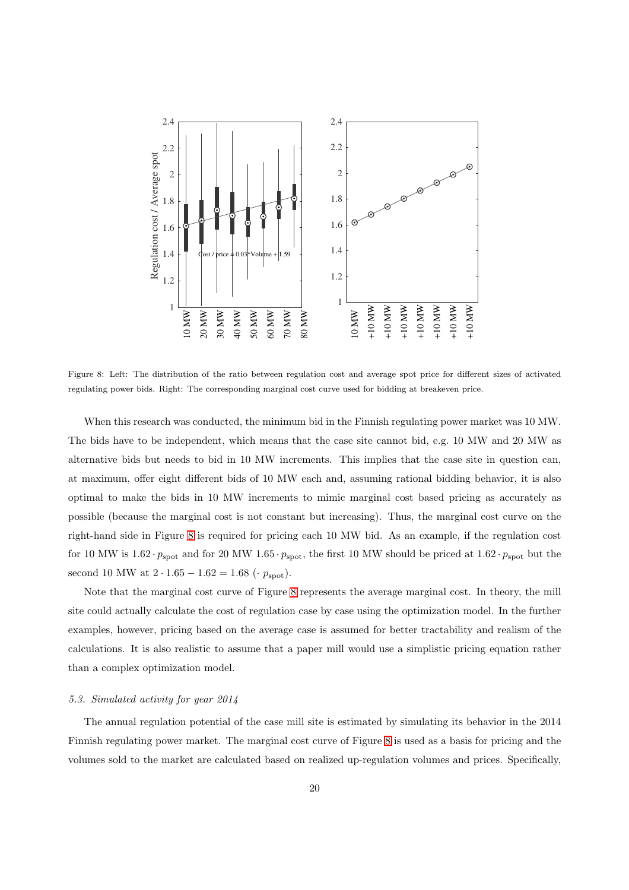

<span id="page-20-0"></span>Figure 8: Left: The distribution of the ratio between regulation cost and average spot price for different sizes of activated regulating power bids. Right: The corresponding marginal cost curve used for bidding at breakeven price.

When this research was conducted, the minimum bid in the Finnish regulating power market was 10 MW. The bids have to be independent, which means that the case site cannot bid, e.g. 10 MW and 20 MW as alternative bids but needs to bid in 10 MW increments. This implies that the case site in question can, at maximum, offer eight different bids of 10 MW each and, assuming rational bidding behavior, it is also optimal to make the bids in 10 MW increments to mimic marginal cost based pricing as accurately as possible (because the marginal cost is not constant but increasing). Thus, the marginal cost curve on the right-hand side in Figure [8](#page-20-0) is required for pricing each 10 MW bid. As an example, if the regulation cost for 10 MW is  $1.62 \cdot p_{\rm spot}$  and for 20 MW 1.65  $\cdot p_{\rm spot}$ , the first 10 MW should be priced at  $1.62 \cdot p_{\rm spot}$  but the second 10 MW at  $2 \cdot 1.65 - 1.62 = 1.68$  ( $\cdot p_{\text{spot}}$ ).

Note that the marginal cost curve of Figure [8](#page-20-0) represents the average marginal cost. In theory, the mill site could actually calculate the cost of regulation case by case using the optimization model. In the further examples, however, pricing based on the average case is assumed for better tractability and realism of the calculations. It is also realistic to assume that a paper mill would use a simplistic pricing equation rather than a complex optimization model.

#### *5.3. Simulated activity for year 2014*

The annual regulation potential of the case mill site is estimated by simulating its behavior in the 2014 Finnish regulating power market. The marginal cost curve of Figure [8](#page-20-0) is used as a basis for pricing and the volumes sold to the market are calculated based on realized up-regulation volumes and prices. Specifically,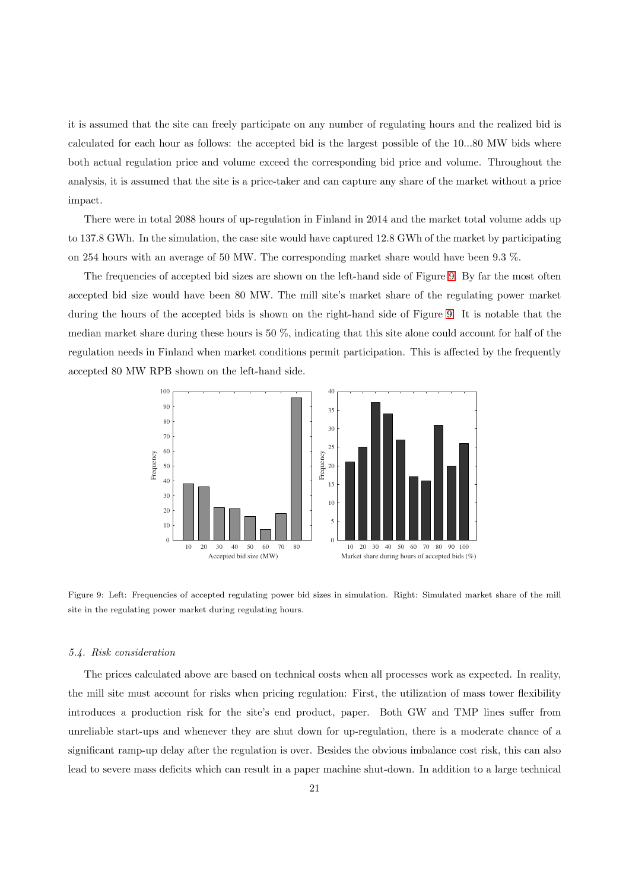it is assumed that the site can freely participate on any number of regulating hours and the realized bid is calculated for each hour as follows: the accepted bid is the largest possible of the 10...80 MW bids where both actual regulation price and volume exceed the corresponding bid price and volume. Throughout the analysis, it is assumed that the site is a price-taker and can capture any share of the market without a price impact.

There were in total 2088 hours of up-regulation in Finland in 2014 and the market total volume adds up to 137.8 GWh. In the simulation, the case site would have captured 12.8 GWh of the market by participating on 254 hours with an average of 50 MW. The corresponding market share would have been 9.3 %.

The frequencies of accepted bid sizes are shown on the left-hand side of Figure [9.](#page-21-0) By far the most often accepted bid size would have been 80 MW. The mill site's market share of the regulating power market during the hours of the accepted bids is shown on the right-hand side of Figure [9.](#page-21-0) It is notable that the median market share during these hours is 50 %, indicating that this site alone could account for half of the regulation needs in Finland when market conditions permit participation. This is affected by the frequently accepted 80 MW RPB shown on the left-hand side.



<span id="page-21-0"></span>Figure 9: Left: Frequencies of accepted regulating power bid sizes in simulation. Right: Simulated market share of the mill site in the regulating power market during regulating hours.

#### *5.4. Risk consideration*

The prices calculated above are based on technical costs when all processes work as expected. In reality, the mill site must account for risks when pricing regulation: First, the utilization of mass tower flexibility introduces a production risk for the site's end product, paper. Both GW and TMP lines suffer from unreliable start-ups and whenever they are shut down for up-regulation, there is a moderate chance of a significant ramp-up delay after the regulation is over. Besides the obvious imbalance cost risk, this can also lead to severe mass deficits which can result in a paper machine shut-down. In addition to a large technical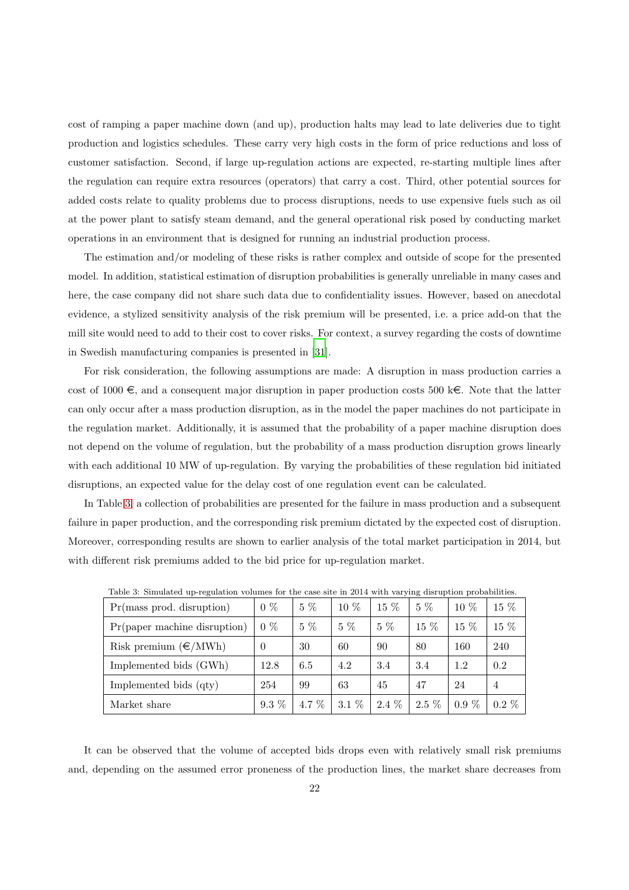cost of ramping a paper machine down (and up), production halts may lead to late deliveries due to tight production and logistics schedules. These carry very high costs in the form of price reductions and loss of customer satisfaction. Second, if large up-regulation actions are expected, re-starting multiple lines after the regulation can require extra resources (operators) that carry a cost. Third, other potential sources for added costs relate to quality problems due to process disruptions, needs to use expensive fuels such as oil at the power plant to satisfy steam demand, and the general operational risk posed by conducting market operations in an environment that is designed for running an industrial production process.

The estimation and/or modeling of these risks is rather complex and outside of scope for the presented model. In addition, statistical estimation of disruption probabilities is generally unreliable in many cases and here, the case company did not share such data due to confidentiality issues. However, based on anecdotal evidence, a stylized sensitivity analysis of the risk premium will be presented, i.e. a price add-on that the mill site would need to add to their cost to cover risks. For context, a survey regarding the costs of downtime in Swedish manufacturing companies is presented in [\[31\]](#page-30-12).

For risk consideration, the following assumptions are made: A disruption in mass production carries a cost of 1000  $\epsilon$ , and a consequent major disruption in paper production costs 500 k $\epsilon$ . Note that the latter can only occur after a mass production disruption, as in the model the paper machines do not participate in the regulation market. Additionally, it is assumed that the probability of a paper machine disruption does not depend on the volume of regulation, but the probability of a mass production disruption grows linearly with each additional 10 MW of up-regulation. By varying the probabilities of these regulation bid initiated disruptions, an expected value for the delay cost of one regulation event can be calculated.

In Table [3,](#page-22-0) a collection of probabilities are presented for the failure in mass production and a subsequent failure in paper production, and the corresponding risk premium dictated by the expected cost of disruption. Moreover, corresponding results are shown to earlier analysis of the total market participation in 2014, but with different risk premiums added to the bid price for up-regulation market.

| $Pr(mass \text{ prod.} distribution)$ | $0\%$    | $5\%$   | $10\%$  | $15\%$  | $5\%$   | $10\%$  | 15 %           |
|---------------------------------------|----------|---------|---------|---------|---------|---------|----------------|
| $Pr$ (paper machine disruption)       | $0\%$    | $5\%$   | $5\%$   | $5\%$   | 15 %    | $15\%$  | 15 %           |
| Risk premium $(\epsilon/MWh)$         | $\theta$ | 30      | 60      | 90      | 80      | 160     | 240            |
| Implemented bids (GWh)                | 12.8     | 6.5     | 4.2     | 3.4     | 3.4     | 1.2     | 0.2            |
| Implemented bids (qty)                | 254      | 99      | 63      | 45      | 47      | 24      | $\overline{4}$ |
| Market share                          | $9.3\%$  | 4.7 $%$ | $3.1\%$ | $2.4\%$ | $2.5\%$ | $0.9\%$ | $0.2\%$        |

<span id="page-22-0"></span>Table 3: Simulated up-regulation volumes for the case site in 2014 with varying disruption probabilities.

It can be observed that the volume of accepted bids drops even with relatively small risk premiums and, depending on the assumed error proneness of the production lines, the market share decreases from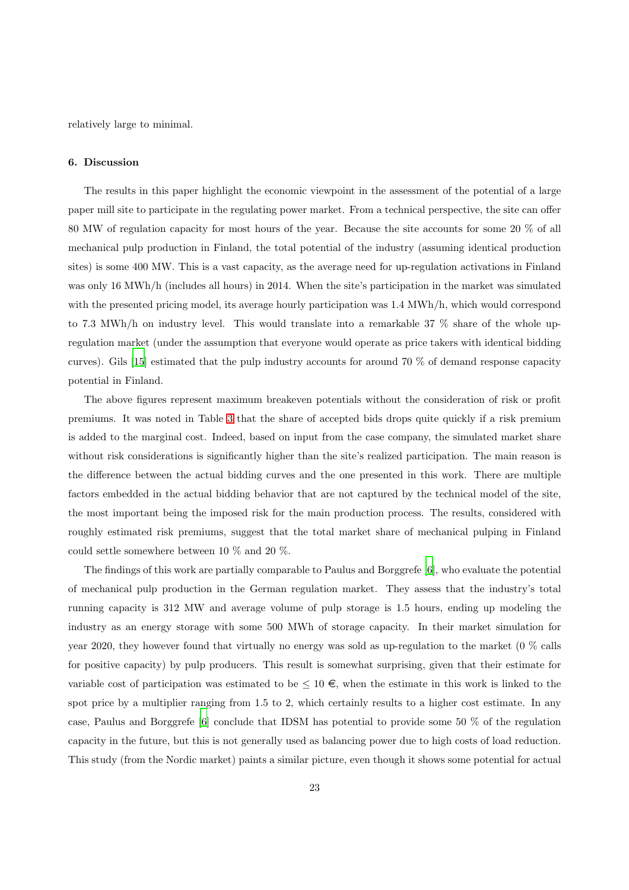<span id="page-23-0"></span>relatively large to minimal.

## 6. Discussion

The results in this paper highlight the economic viewpoint in the assessment of the potential of a large paper mill site to participate in the regulating power market. From a technical perspective, the site can offer 80 MW of regulation capacity for most hours of the year. Because the site accounts for some 20 % of all mechanical pulp production in Finland, the total potential of the industry (assuming identical production sites) is some 400 MW. This is a vast capacity, as the average need for up-regulation activations in Finland was only 16 MWh/h (includes all hours) in 2014. When the site's participation in the market was simulated with the presented pricing model, its average hourly participation was 1.4 MWh/h, which would correspond to 7.3 MWh/h on industry level. This would translate into a remarkable 37 % share of the whole upregulation market (under the assumption that everyone would operate as price takers with identical bidding curves). Gils [\[15\]](#page-29-14) estimated that the pulp industry accounts for around 70 % of demand response capacity potential in Finland.

The above figures represent maximum breakeven potentials without the consideration of risk or profit premiums. It was noted in Table [3](#page-22-0) that the share of accepted bids drops quite quickly if a risk premium is added to the marginal cost. Indeed, based on input from the case company, the simulated market share without risk considerations is significantly higher than the site's realized participation. The main reason is the difference between the actual bidding curves and the one presented in this work. There are multiple factors embedded in the actual bidding behavior that are not captured by the technical model of the site, the most important being the imposed risk for the main production process. The results, considered with roughly estimated risk premiums, suggest that the total market share of mechanical pulping in Finland could settle somewhere between 10 % and 20 %.

The findings of this work are partially comparable to Paulus and Borggrefe [\[6](#page-29-5)], who evaluate the potential of mechanical pulp production in the German regulation market. They assess that the industry's total running capacity is 312 MW and average volume of pulp storage is 1.5 hours, ending up modeling the industry as an energy storage with some 500 MWh of storage capacity. In their market simulation for year 2020, they however found that virtually no energy was sold as up-regulation to the market (0 % calls for positive capacity) by pulp producers. This result is somewhat surprising, given that their estimate for variable cost of participation was estimated to be  $\leq 10 \in$ , when the estimate in this work is linked to the spot price by a multiplier ranging from 1.5 to 2, which certainly results to a higher cost estimate. In any case, Paulus and Borggrefe [\[6\]](#page-29-5) conclude that IDSM has potential to provide some 50 % of the regulation capacity in the future, but this is not generally used as balancing power due to high costs of load reduction. This study (from the Nordic market) paints a similar picture, even though it shows some potential for actual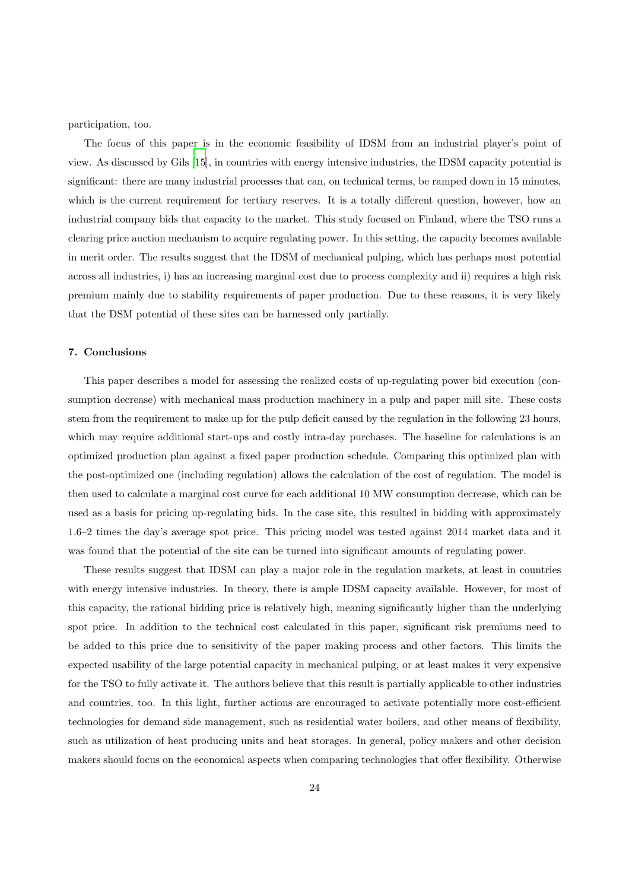participation, too.

The focus of this paper is in the economic feasibility of IDSM from an industrial player's point of view. As discussed by Gils [\[15](#page-29-14)], in countries with energy intensive industries, the IDSM capacity potential is significant: there are many industrial processes that can, on technical terms, be ramped down in 15 minutes, which is the current requirement for tertiary reserves. It is a totally different question, however, how an industrial company bids that capacity to the market. This study focused on Finland, where the TSO runs a clearing price auction mechanism to acquire regulating power. In this setting, the capacity becomes available in merit order. The results suggest that the IDSM of mechanical pulping, which has perhaps most potential across all industries, i) has an increasing marginal cost due to process complexity and ii) requires a high risk premium mainly due to stability requirements of paper production. Due to these reasons, it is very likely that the DSM potential of these sites can be harnessed only partially.

## <span id="page-24-0"></span>7. Conclusions

This paper describes a model for assessing the realized costs of up-regulating power bid execution (consumption decrease) with mechanical mass production machinery in a pulp and paper mill site. These costs stem from the requirement to make up for the pulp deficit caused by the regulation in the following 23 hours, which may require additional start-ups and costly intra-day purchases. The baseline for calculations is an optimized production plan against a fixed paper production schedule. Comparing this optimized plan with the post-optimized one (including regulation) allows the calculation of the cost of regulation. The model is then used to calculate a marginal cost curve for each additional 10 MW consumption decrease, which can be used as a basis for pricing up-regulating bids. In the case site, this resulted in bidding with approximately 1.6–2 times the day's average spot price. This pricing model was tested against 2014 market data and it was found that the potential of the site can be turned into significant amounts of regulating power.

These results suggest that IDSM can play a major role in the regulation markets, at least in countries with energy intensive industries. In theory, there is ample IDSM capacity available. However, for most of this capacity, the rational bidding price is relatively high, meaning significantly higher than the underlying spot price. In addition to the technical cost calculated in this paper, significant risk premiums need to be added to this price due to sensitivity of the paper making process and other factors. This limits the expected usability of the large potential capacity in mechanical pulping, or at least makes it very expensive for the TSO to fully activate it. The authors believe that this result is partially applicable to other industries and countries, too. In this light, further actions are encouraged to activate potentially more cost-efficient technologies for demand side management, such as residential water boilers, and other means of flexibility, such as utilization of heat producing units and heat storages. In general, policy makers and other decision makers should focus on the economical aspects when comparing technologies that offer flexibility. Otherwise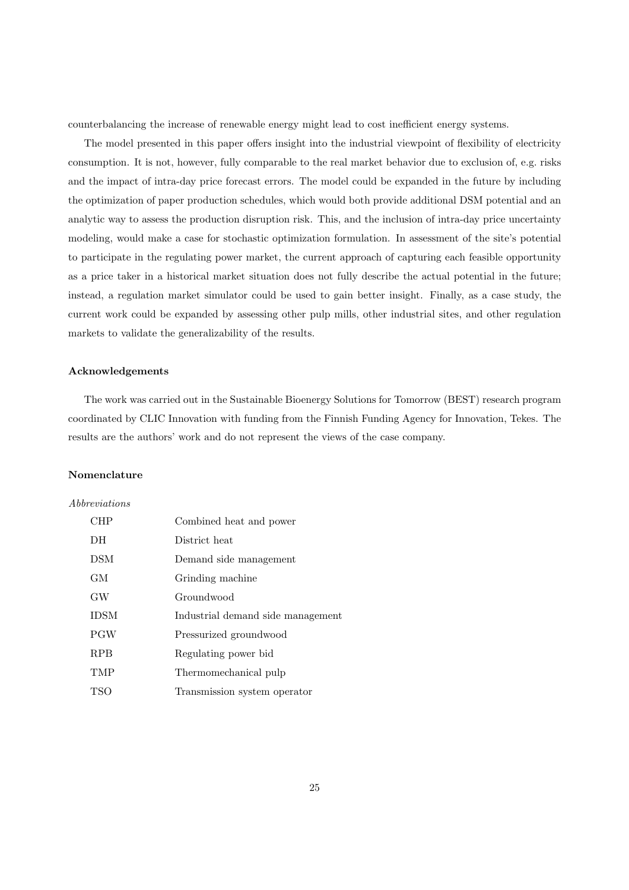counterbalancing the increase of renewable energy might lead to cost inefficient energy systems.

The model presented in this paper offers insight into the industrial viewpoint of flexibility of electricity consumption. It is not, however, fully comparable to the real market behavior due to exclusion of, e.g. risks and the impact of intra-day price forecast errors. The model could be expanded in the future by including the optimization of paper production schedules, which would both provide additional DSM potential and an analytic way to assess the production disruption risk. This, and the inclusion of intra-day price uncertainty modeling, would make a case for stochastic optimization formulation. In assessment of the site's potential to participate in the regulating power market, the current approach of capturing each feasible opportunity as a price taker in a historical market situation does not fully describe the actual potential in the future; instead, a regulation market simulator could be used to gain better insight. Finally, as a case study, the current work could be expanded by assessing other pulp mills, other industrial sites, and other regulation markets to validate the generalizability of the results.

#### Acknowledgements

The work was carried out in the Sustainable Bioenergy Solutions for Tomorrow (BEST) research program coordinated by CLIC Innovation with funding from the Finnish Funding Agency for Innovation, Tekes. The results are the authors' work and do not represent the views of the case company.

## Nomenclature

#### *Abbreviations*

| CHP         | Combined heat and power           |
|-------------|-----------------------------------|
| DH          | District heat                     |
| <b>DSM</b>  | Demand side management            |
| GM.         | Grinding machine                  |
| GW          | Groundwood                        |
| <b>IDSM</b> | Industrial demand side management |
| <b>PGW</b>  | Pressurized groundwood            |
| <b>RPB</b>  | Regulating power bid              |
| <b>TMP</b>  | Thermomechanical pulp             |
| TSO         | Transmission system operator      |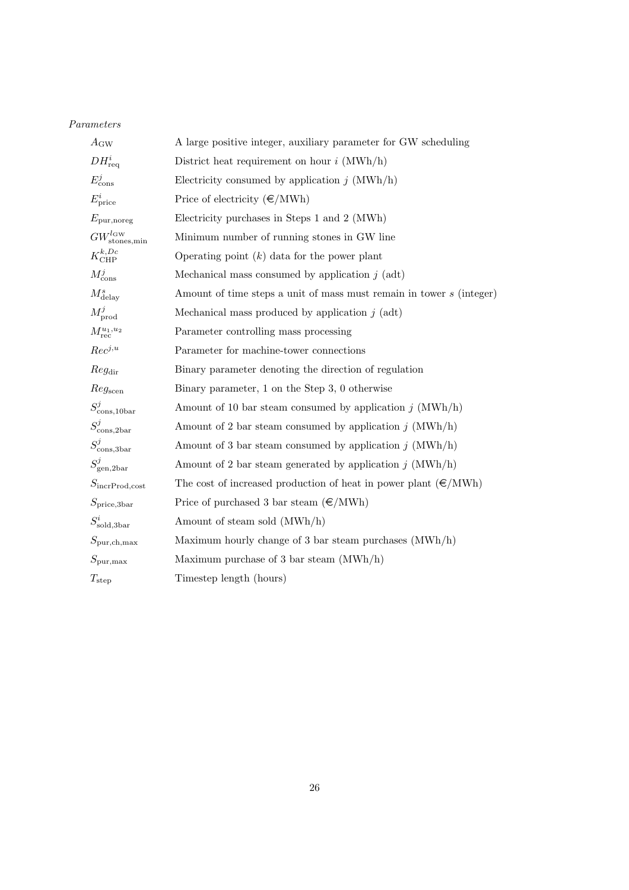## *Parameters*

| $A_{\rm GW}$                          | A large positive integer, auxiliary parameter for GW scheduling          |
|---------------------------------------|--------------------------------------------------------------------------|
| $DH_{\text{req}}^i$                   | District heat requirement on hour $i$ (MWh/h)                            |
| $E_{\text{cons}}^j$                   | Electricity consumed by application $j$ (MWh/h)                          |
| $E_{\text{price}}^i$                  | Price of electricity $(\epsilon/MWh)$                                    |
| $E_{\text{pur,more}}$                 | Electricity purchases in Steps 1 and 2 (MWh)                             |
| $GW^{l_Gw}_{\text{stones,min}}$       | Minimum number of running stones in GW line                              |
| $K_{\mathrm{CHP}}^{k, Dc}$            | Operating point $(k)$ data for the power plant                           |
| $M_{\rm cons}^j$                      | Mechanical mass consumed by application $j$ (adt)                        |
| $M^s_{\rm delay}$                     | Amount of time steps a unit of mass must remain in tower s (integer)     |
| $M_{\text{prod}}^j$                   | Mechanical mass produced by application $j$ (adt)                        |
| $M^{u_1,u_2}_{\rm rec}$               | Parameter controlling mass processing                                    |
| $Rec^{j,u}$                           | Parameter for machine-tower connections                                  |
| Reg <sub>dir</sub>                    | Binary parameter denoting the direction of regulation                    |
| Reg <sub>seen</sub>                   | Binary parameter, 1 on the Step 3, 0 otherwise                           |
| $S_{\text{cons,10bar}}^j$             | Amount of 10 bar steam consumed by application $j$ (MWh/h)               |
| $S_{\text{cons,2bar}}^j$              | Amount of 2 bar steam consumed by application $j$ (MWh/h)                |
| $S^j_{\rm cons, 3bar}$                | Amount of 3 bar steam consumed by application $j$ (MWh/h)                |
| $S_{\text{gen},2\text{bar}}^{j}$      | Amount of 2 bar steam generated by application $j$ (MWh/h)               |
| $S_{\rm{incrProd}, cost}$             | The cost of increased production of heat in power plant $(\epsilon/MWh)$ |
| $S_{\text{price,3bar}}$               | Price of purchased 3 bar steam $(\epsilon/MWh)$                          |
| $S^i_{\rm sold, 3bar}$                | Amount of steam sold (MWh/h)                                             |
| $S_{\text{pur},\text{ch},\text{max}}$ | Maximum hourly change of 3 bar steam purchases $(MWh/h)$                 |
| $S_{\text{pur,max}}$                  | Maximum purchase of 3 bar steam $(MWh/h)$                                |
| $T_{\rm step}$                        | Timestep length (hours)                                                  |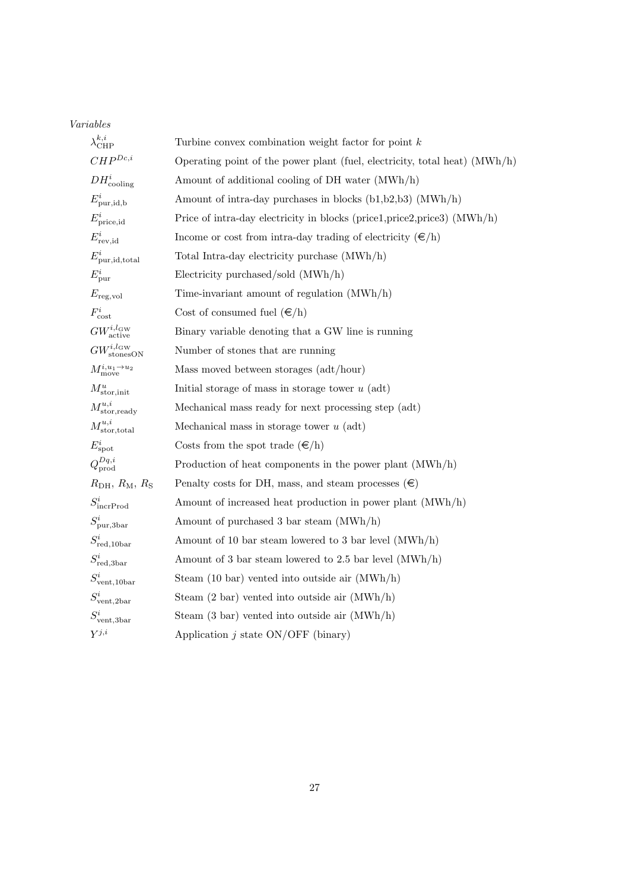## *Variables*

| $\lambda_{\text{CHP}}^{k,i}$              | Turbine convex combination weight factor for point $k$                     |
|-------------------------------------------|----------------------------------------------------------------------------|
| $CHP^{Dc,i}$                              | Operating point of the power plant (fuel, electricity, total heat) (MWh/h) |
| $DH_{\text{cooling}}^i$                   | Amount of additional cooling of DH water (MWh/h)                           |
| $E_{\text{pur},\text{id},\text{b}}^i$     | Amount of intra-day purchases in blocks $(b1,b2,b3)$ (MWh/h)               |
| $E_{\text{price},id}^i$                   | Price of intra-day electricity in blocks (price1,price2,price3) (MWh/h)    |
| $E_{\text{rev},\text{id}}^i$              | Income or cost from intra-day trading of electricity $(\epsilon/h)$        |
| $E_{\text{pur},\text{id},\text{total}}^i$ | Total Intra-day electricity purchase (MWh/h)                               |
| $E_{\text{pur}}^i$                        | Electricity purchased/sold (MWh/h)                                         |
| $E_{\text{reg,vol}}$                      | Time-invariant amount of regulation $(MWh/h)$                              |
| $F_{\text{cost}}^i$                       | Cost of consumed fuel $(\epsilon/h)$                                       |
| $GW^{i,l_{\rm GW}}_{\rm active}$          | Binary variable denoting that a GW line is running                         |
| $GW^{i,l_{\text{GW}}}_{\text{stonesON}}$  | Number of stones that are running                                          |
| $M_{\rm move}^{i, u_1 \rightarrow u_2}$   | Mass moved between storages (adt/hour)                                     |
| $M^u_{\text{stor,init}}$                  | Initial storage of mass in storage tower $u$ (adt)                         |
| $M^{u,i}_{\rm stor, ready}$               | Mechanical mass ready for next processing step (adt)                       |
| $M^{u,i}_{\rm stor,total}$                | Mechanical mass in storage tower $u$ (adt)                                 |
| $E^i_{\rm spot}$                          | Costs from the spot trade $(\epsilon/h)$                                   |
| $Q_{\text{prod}}^{Dq,i}$                  | Production of heat components in the power plant $(MWh/h)$                 |
| $R_{\rm DH}, R_{\rm M}, R_{\rm S}$        | Penalty costs for DH, mass, and steam processes $(\epsilon)$               |
| $S_{\text{incrProd}}^i$                   | Amount of increased heat production in power plant (MWh/h)                 |
| $S_{\text{pur,3bar}}^i$                   | Amount of purchased 3 bar steam (MWh/h)                                    |
| $S^i_{\text{red},10\text{bar}}$           | Amount of 10 bar steam lowered to 3 bar level $(MWh/h)$                    |
| $S^i_{\rm red, 3bar}$                     | Amount of 3 bar steam lowered to 2.5 bar level $(MWh/h)$                   |
| $S_{\rm vent,10bar}^{i}$                  | Steam $(10 \text{ bar})$ vented into outside air $(MWh/h)$                 |
| $S_{\text{vent,2bar}}^i$                  | Steam $(2 \text{ bar})$ vented into outside air $(MWh/h)$                  |
| $S_{\text{vent},3\text{bar}}^i$           | Steam $(3 \text{ bar})$ vented into outside air $(MWh/h)$                  |
| $Y^{j,i}$                                 | Application $j$ state $ON/OFF$ (binary)                                    |
|                                           |                                                                            |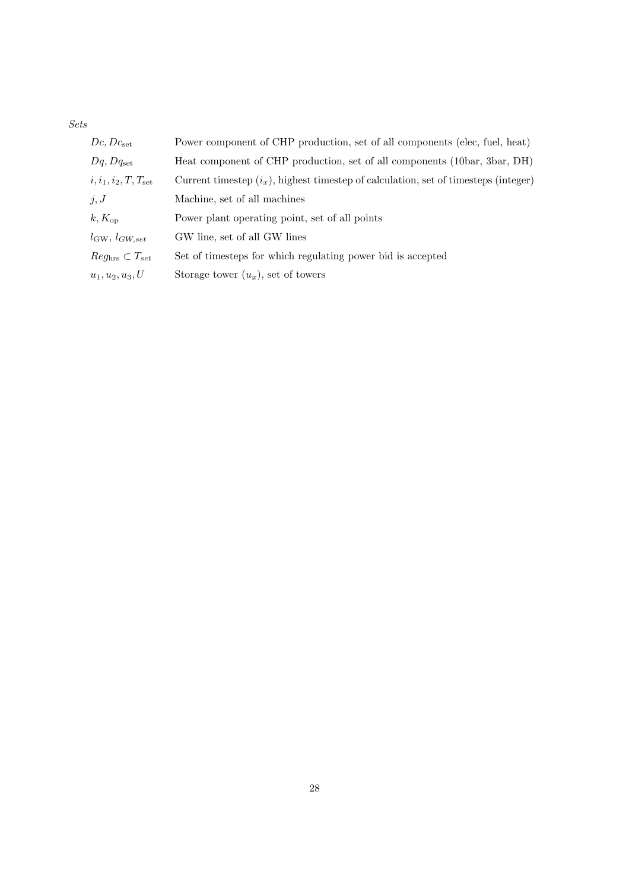*Sets*

| $Dc, Dc_{\rm set}$                 | Power component of CHP production, set of all components (elec, fuel, heat)            |
|------------------------------------|----------------------------------------------------------------------------------------|
| $Dq, Dq_{\rm set}$                 | Heat component of CHP production, set of all components (10bar, 3bar, DH)              |
| $i, i_1, i_2, T, T_{\rm set}$      | Current timestep $(i_x)$ , highest timestep of calculation, set of timesteps (integer) |
| j, J                               | Machine, set of all machines                                                           |
| $k, K_{op}$                        | Power plant operating point, set of all points                                         |
| $l_{\text{GW}}, l_{GW, set}$       | GW line, set of all GW lines                                                           |
| $Reg_{\text{hrs}} \subset T_{set}$ | Set of timesteps for which regulating power bid is accepted                            |
| $u_1, u_2, u_3, U$                 | Storage tower $(u_x)$ , set of towers                                                  |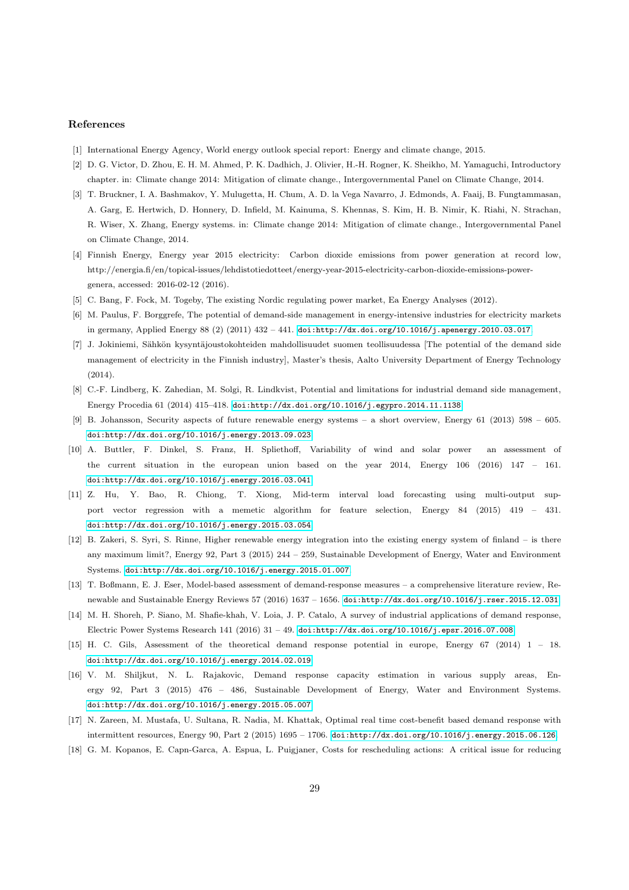#### References

- <span id="page-29-0"></span>[1] International Energy Agency, World energy outlook special report: Energy and climate change, 2015.
- <span id="page-29-1"></span>[2] D. G. Victor, D. Zhou, E. H. M. Ahmed, P. K. Dadhich, J. Olivier, H.-H. Rogner, K. Sheikho, M. Yamaguchi, Introductory chapter. in: Climate change 2014: Mitigation of climate change., Intergovernmental Panel on Climate Change, 2014.
- <span id="page-29-2"></span>[3] T. Bruckner, I. A. Bashmakov, Y. Mulugetta, H. Chum, A. D. la Vega Navarro, J. Edmonds, A. Faaij, B. Fungtammasan, A. Garg, E. Hertwich, D. Honnery, D. Infield, M. Kainuma, S. Khennas, S. Kim, H. B. Nimir, K. Riahi, N. Strachan, R. Wiser, X. Zhang, Energy systems. in: Climate change 2014: Mitigation of climate change., Intergovernmental Panel on Climate Change, 2014.
- <span id="page-29-3"></span>[4] Finnish Energy, Energy year 2015 electricity: Carbon dioxide emissions from power generation at record low, http://energia.fi/en/topical-issues/lehdistotiedotteet/energy-year-2015-electricity-carbon-dioxide-emissions-powergenera, accessed: 2016-02-12 (2016).
- <span id="page-29-4"></span>[5] C. Bang, F. Fock, M. Togeby, The existing Nordic regulating power market, Ea Energy Analyses (2012).
- <span id="page-29-5"></span>[6] M. Paulus, F. Borggrefe, The potential of demand-side management in energy-intensive industries for electricity markets in germany, Applied Energy 88 (2) (2011) 432 – 441. doi:http://dx.doi.org/10.1016/j.apenergy.2010.03.017.
- <span id="page-29-6"></span>[7] J. Jokiniemi, Sähkön kysyntäjoustokohteiden mahdollisuudet suomen teollisuudessa [The potential of the demand side management of electricity in the Finnish industry], Master's thesis, Aalto University Department of Energy Technology (2014).
- <span id="page-29-7"></span>[8] C.-F. Lindberg, K. Zahedian, M. Solgi, R. Lindkvist, Potential and limitations for industrial demand side management, Energy Procedia 61 (2014) 415–418. doi:http://dx.doi.org/10.1016/j.egypro.2014.11.1138.
- <span id="page-29-8"></span>[9] B. Johansson, Security aspects of future renewable energy systems – a short overview, Energy 61 (2013) 598 – 605. doi:http://dx.doi.org/10.1016/j.energy.2013.09.023.
- <span id="page-29-9"></span>[10] A. Buttler, F. Dinkel, S. Franz, H. Spliethoff, Variability of wind and solar power an assessment of the current situation in the european union based on the year 2014, Energy 106 (2016) 147 – 161. doi:http://dx.doi.org/10.1016/j.energy.2016.03.041.
- <span id="page-29-10"></span>[11] Z. Hu, Y. Bao, R. Chiong, T. Xiong, Mid-term interval load forecasting using multi-output support vector regression with a memetic algorithm for feature selection, Energy 84 (2015) 419 – 431. doi:http://dx.doi.org/10.1016/j.energy.2015.03.054.
- <span id="page-29-11"></span>[12] B. Zakeri, S. Syri, S. Rinne, Higher renewable energy integration into the existing energy system of finland – is there any maximum limit?, Energy 92, Part 3 (2015) 244 – 259, Sustainable Development of Energy, Water and Environment Systems. doi:http://dx.doi.org/10.1016/j.energy.2015.01.007.
- <span id="page-29-12"></span>[13] T. Boßmann, E. J. Eser, Model-based assessment of demand-response measures – a comprehensive literature review, Renewable and Sustainable Energy Reviews 57 (2016) 1637 – 1656. doi:http://dx.doi.org/10.1016/j.rser.2015.12.031.
- <span id="page-29-13"></span>[14] M. H. Shoreh, P. Siano, M. Shafie-khah, V. Loia, J. P. Catalo, A survey of industrial applications of demand response, Electric Power Systems Research 141 (2016) 31 – 49. doi:http://dx.doi.org/10.1016/j.epsr.2016.07.008.
- <span id="page-29-14"></span>[15] H. C. Gils, Assessment of the theoretical demand response potential in europe, Energy 67 (2014) 1 – 18. doi:http://dx.doi.org/10.1016/j.energy.2014.02.019.
- <span id="page-29-15"></span>[16] V. M. Shiljkut, N. L. Rajakovic, Demand response capacity estimation in various supply areas, Energy 92, Part 3 (2015) 476 – 486, Sustainable Development of Energy, Water and Environment Systems. doi:http://dx.doi.org/10.1016/j.energy.2015.05.007.
- <span id="page-29-16"></span>[17] N. Zareen, M. Mustafa, U. Sultana, R. Nadia, M. Khattak, Optimal real time cost-benefit based demand response with intermittent resources, Energy 90, Part 2 (2015) 1695 – 1706. doi:http://dx.doi.org/10.1016/j.energy.2015.06.126.
- <span id="page-29-17"></span>[18] G. M. Kopanos, E. Capn-Garca, A. Espua, L. Puigjaner, Costs for rescheduling actions: A critical issue for reducing